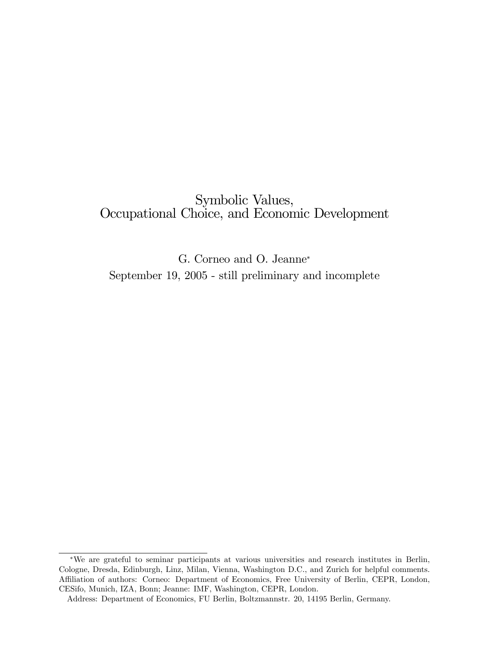# Symbolic Values, Occupational Choice, and Economic Development

G. Corneo and O. Jeanne September 19, 2005 - still preliminary and incomplete

We are grateful to seminar participants at various universities and research institutes in Berlin, Cologne, Dresda, Edinburgh, Linz, Milan, Vienna, Washington D.C., and Zurich for helpful comments. Affiliation of authors: Corneo: Department of Economics, Free University of Berlin, CEPR, London, CESifo, Munich, IZA, Bonn; Jeanne: IMF, Washington, CEPR, London.

Address: Department of Economics, FU Berlin, Boltzmannstr. 20, 14195 Berlin, Germany.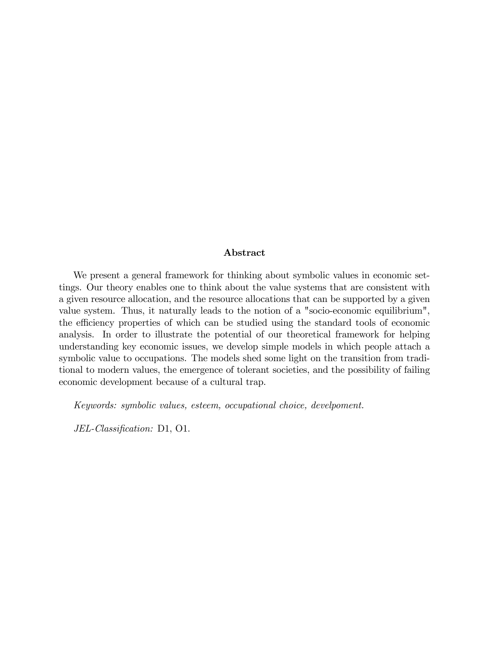#### Abstract

We present a general framework for thinking about symbolic values in economic settings. Our theory enables one to think about the value systems that are consistent with a given resource allocation, and the resource allocations that can be supported by a given value system. Thus, it naturally leads to the notion of a "socio-economic equilibrium", the efficiency properties of which can be studied using the standard tools of economic analysis. In order to illustrate the potential of our theoretical framework for helping understanding key economic issues, we develop simple models in which people attach a symbolic value to occupations. The models shed some light on the transition from traditional to modern values, the emergence of tolerant societies, and the possibility of failing economic development because of a cultural trap.

Keywords: symbolic values, esteem, occupational choice, develpoment.

 $JEL\text{-}Classification: D1, O1.$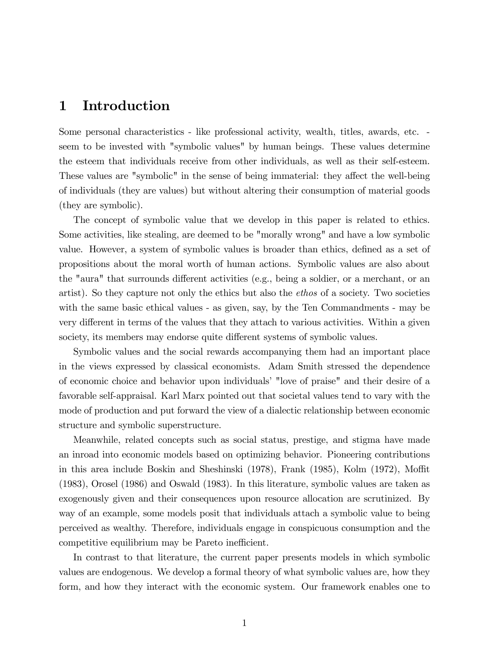# 1 Introduction

Some personal characteristics - like professional activity, wealth, titles, awards, etc. seem to be invested with "symbolic values" by human beings. These values determine the esteem that individuals receive from other individuals, as well as their self-esteem. These values are "symbolic" in the sense of being immaterial: they affect the well-being of individuals (they are values) but without altering their consumption of material goods (they are symbolic).

The concept of symbolic value that we develop in this paper is related to ethics. Some activities, like stealing, are deemed to be "morally wrong" and have a low symbolic value. However, a system of symbolic values is broader than ethics, defined as a set of propositions about the moral worth of human actions. Symbolic values are also about the "aura" that surrounds different activities (e.g., being a soldier, or a merchant, or an artist). So they capture not only the ethics but also the ethos of a society. Two societies with the same basic ethical values - as given, say, by the Ten Commandments - may be very different in terms of the values that they attach to various activities. Within a given society, its members may endorse quite different systems of symbolic values.

Symbolic values and the social rewards accompanying them had an important place in the views expressed by classical economists. Adam Smith stressed the dependence of economic choice and behavior upon individuals' "love of praise" and their desire of a favorable self-appraisal. Karl Marx pointed out that societal values tend to vary with the mode of production and put forward the view of a dialectic relationship between economic structure and symbolic superstructure.

Meanwhile, related concepts such as social status, prestige, and stigma have made an inroad into economic models based on optimizing behavior. Pioneering contributions in this area include Boskin and Sheshinski  $(1978)$ , Frank  $(1985)$ , Kolm  $(1972)$ , Moffit (1983), Orosel (1986) and Oswald (1983). In this literature, symbolic values are taken as exogenously given and their consequences upon resource allocation are scrutinized. By way of an example, some models posit that individuals attach a symbolic value to being perceived as wealthy. Therefore, individuals engage in conspicuous consumption and the competitive equilibrium may be Pareto inefficient.

In contrast to that literature, the current paper presents models in which symbolic values are endogenous. We develop a formal theory of what symbolic values are, how they form, and how they interact with the economic system. Our framework enables one to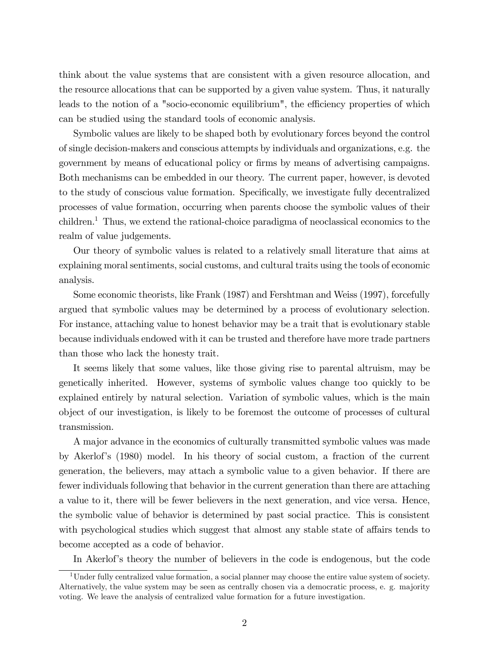think about the value systems that are consistent with a given resource allocation, and the resource allocations that can be supported by a given value system. Thus, it naturally leads to the notion of a "socio-economic equilibrium", the efficiency properties of which can be studied using the standard tools of economic analysis.

Symbolic values are likely to be shaped both by evolutionary forces beyond the control of single decision-makers and conscious attempts by individuals and organizations, e.g. the government by means of educational policy or Örms by means of advertising campaigns. Both mechanisms can be embedded in our theory. The current paper, however, is devoted to the study of conscious value formation. Specifically, we investigate fully decentralized processes of value formation, occurring when parents choose the symbolic values of their children.<sup>1</sup> Thus, we extend the rational-choice paradigma of neoclassical economics to the realm of value judgements.

Our theory of symbolic values is related to a relatively small literature that aims at explaining moral sentiments, social customs, and cultural traits using the tools of economic analysis.

Some economic theorists, like Frank (1987) and Fershtman and Weiss (1997), forcefully argued that symbolic values may be determined by a process of evolutionary selection. For instance, attaching value to honest behavior may be a trait that is evolutionary stable because individuals endowed with it can be trusted and therefore have more trade partners than those who lack the honesty trait.

It seems likely that some values, like those giving rise to parental altruism, may be genetically inherited. However, systems of symbolic values change too quickly to be explained entirely by natural selection. Variation of symbolic values, which is the main object of our investigation, is likely to be foremost the outcome of processes of cultural transmission.

A major advance in the economics of culturally transmitted symbolic values was made by Akerlof's (1980) model. In his theory of social custom, a fraction of the current generation, the believers, may attach a symbolic value to a given behavior. If there are fewer individuals following that behavior in the current generation than there are attaching a value to it, there will be fewer believers in the next generation, and vice versa. Hence, the symbolic value of behavior is determined by past social practice. This is consistent with psychological studies which suggest that almost any stable state of affairs tends to become accepted as a code of behavior.

In Akerlof's theory the number of believers in the code is endogenous, but the code

<sup>1</sup>Under fully centralized value formation, a social planner may choose the entire value system of society. Alternatively, the value system may be seen as centrally chosen via a democratic process, e. g. majority voting. We leave the analysis of centralized value formation for a future investigation.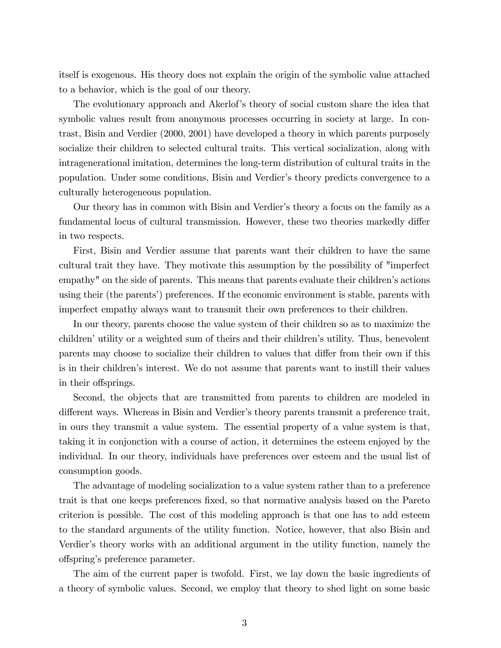itself is exogenous. His theory does not explain the origin of the symbolic value attached to a behavior, which is the goal of our theory.

The evolutionary approach and Akerlof's theory of social custom share the idea that symbolic values result from anonymous processes occurring in society at large. In contrast, Bisin and Verdier (2000, 2001) have developed a theory in which parents purposely socialize their children to selected cultural traits. This vertical socialization, along with intragenerational imitation, determines the long-term distribution of cultural traits in the population. Under some conditions, Bisin and Verdierís theory predicts convergence to a culturally heterogeneous population.

Our theory has in common with Bisin and Verdierís theory a focus on the family as a fundamental locus of cultural transmission. However, these two theories markedly differ in two respects.

First, Bisin and Verdier assume that parents want their children to have the same cultural trait they have. They motivate this assumption by the possibility of "imperfect empathy" on the side of parents. This means that parents evaluate their children's actions using their (the parents') preferences. If the economic environment is stable, parents with imperfect empathy always want to transmit their own preferences to their children.

In our theory, parents choose the value system of their children so as to maximize the children' utility or a weighted sum of theirs and their children's utility. Thus, benevolent parents may choose to socialize their children to values that differ from their own if this is in their childrenís interest. We do not assume that parents want to instill their values in their offsprings.

Second, the objects that are transmitted from parents to children are modeled in different ways. Whereas in Bisin and Verdier's theory parents transmit a preference trait, in ours they transmit a value system. The essential property of a value system is that, taking it in conjonction with a course of action, it determines the esteem enjoyed by the individual. In our theory, individuals have preferences over esteem and the usual list of consumption goods.

The advantage of modeling socialization to a value system rather than to a preference trait is that one keeps preferences Öxed, so that normative analysis based on the Pareto criterion is possible. The cost of this modeling approach is that one has to add esteem to the standard arguments of the utility function. Notice, however, that also Bisin and Verdier's theory works with an additional argument in the utility function, namely the offspring's preference parameter.

The aim of the current paper is twofold. First, we lay down the basic ingredients of a theory of symbolic values. Second, we employ that theory to shed light on some basic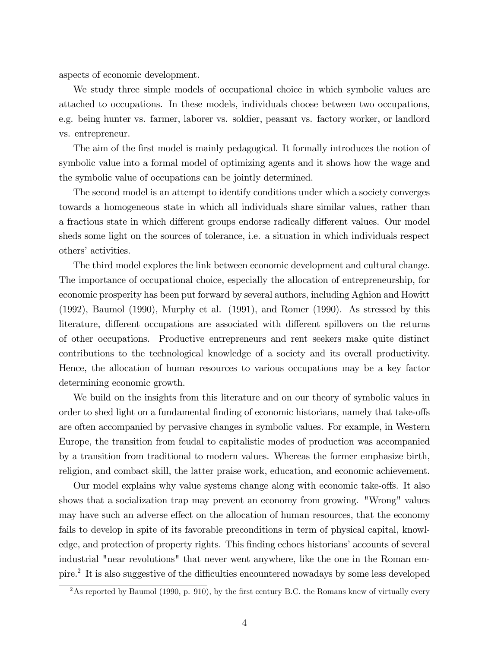aspects of economic development.

We study three simple models of occupational choice in which symbolic values are attached to occupations. In these models, individuals choose between two occupations, e.g. being hunter vs. farmer, laborer vs. soldier, peasant vs. factory worker, or landlord vs. entrepreneur.

The aim of the first model is mainly pedagogical. It formally introduces the notion of symbolic value into a formal model of optimizing agents and it shows how the wage and the symbolic value of occupations can be jointly determined.

The second model is an attempt to identify conditions under which a society converges towards a homogeneous state in which all individuals share similar values, rather than a fractious state in which different groups endorse radically different values. Our model sheds some light on the sources of tolerance, i.e. a situation in which individuals respect others' activities.

The third model explores the link between economic development and cultural change. The importance of occupational choice, especially the allocation of entrepreneurship, for economic prosperity has been put forward by several authors, including Aghion and Howitt (1992), Baumol (1990), Murphy et al. (1991), and Romer (1990). As stressed by this literature, different occupations are associated with different spillovers on the returns of other occupations. Productive entrepreneurs and rent seekers make quite distinct contributions to the technological knowledge of a society and its overall productivity. Hence, the allocation of human resources to various occupations may be a key factor determining economic growth.

We build on the insights from this literature and on our theory of symbolic values in order to shed light on a fundamental finding of economic historians, namely that take-offs are often accompanied by pervasive changes in symbolic values. For example, in Western Europe, the transition from feudal to capitalistic modes of production was accompanied by a transition from traditional to modern values. Whereas the former emphasize birth, religion, and combact skill, the latter praise work, education, and economic achievement.

Our model explains why value systems change along with economic take-offs. It also shows that a socialization trap may prevent an economy from growing. "Wrong" values may have such an adverse effect on the allocation of human resources, that the economy fails to develop in spite of its favorable preconditions in term of physical capital, knowledge, and protection of property rights. This finding echoes historians' accounts of several industrial "near revolutions" that never went anywhere, like the one in the Roman empire.<sup>2</sup> It is also suggestive of the difficulties encountered nowadays by some less developed

<sup>&</sup>lt;sup>2</sup>As reported by Baumol (1990, p. 910), by the first century B.C. the Romans knew of virtually every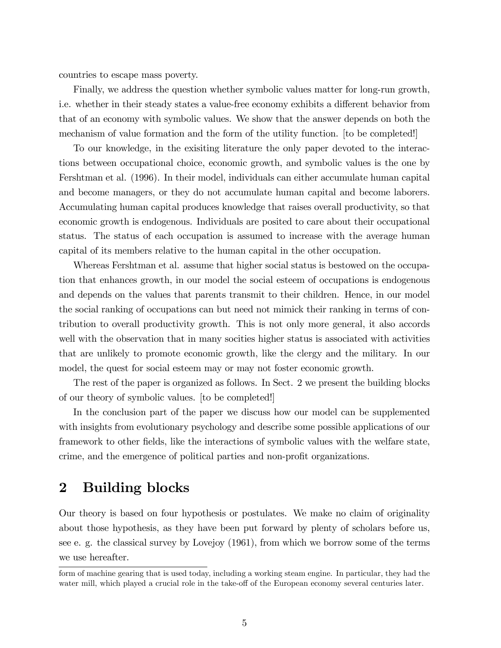countries to escape mass poverty.

Finally, we address the question whether symbolic values matter for long-run growth, i.e. whether in their steady states a value-free economy exhibits a different behavior from that of an economy with symbolic values. We show that the answer depends on both the mechanism of value formation and the form of the utility function. [to be completed!]

To our knowledge, in the exisiting literature the only paper devoted to the interactions between occupational choice, economic growth, and symbolic values is the one by Fershtman et al. (1996). In their model, individuals can either accumulate human capital and become managers, or they do not accumulate human capital and become laborers. Accumulating human capital produces knowledge that raises overall productivity, so that economic growth is endogenous. Individuals are posited to care about their occupational status. The status of each occupation is assumed to increase with the average human capital of its members relative to the human capital in the other occupation.

Whereas Fershtman et al. assume that higher social status is bestowed on the occupation that enhances growth, in our model the social esteem of occupations is endogenous and depends on the values that parents transmit to their children. Hence, in our model the social ranking of occupations can but need not mimick their ranking in terms of contribution to overall productivity growth. This is not only more general, it also accords well with the observation that in many socities higher status is associated with activities that are unlikely to promote economic growth, like the clergy and the military. In our model, the quest for social esteem may or may not foster economic growth.

The rest of the paper is organized as follows. In Sect. 2 we present the building blocks of our theory of symbolic values. [to be completed!]

In the conclusion part of the paper we discuss how our model can be supplemented with insights from evolutionary psychology and describe some possible applications of our framework to other fields, like the interactions of symbolic values with the welfare state, crime, and the emergence of political parties and non-profit organizations.

# 2 Building blocks

Our theory is based on four hypothesis or postulates. We make no claim of originality about those hypothesis, as they have been put forward by plenty of scholars before us, see e. g. the classical survey by Lovejoy (1961), from which we borrow some of the terms we use hereafter.

form of machine gearing that is used today, including a working steam engine. In particular, they had the water mill, which played a crucial role in the take-off of the European economy several centuries later.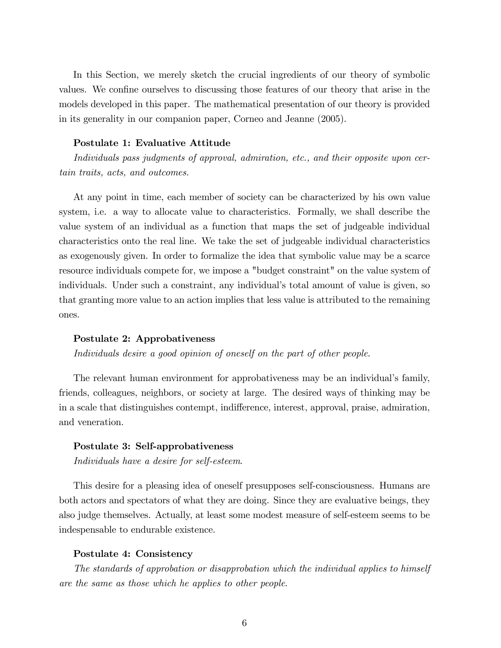In this Section, we merely sketch the crucial ingredients of our theory of symbolic values. We confine ourselves to discussing those features of our theory that arise in the models developed in this paper. The mathematical presentation of our theory is provided in its generality in our companion paper, Corneo and Jeanne (2005).

#### Postulate 1: Evaluative Attitude

Individuals pass judgments of approval, admiration, etc., and their opposite upon certain traits, acts, and outcomes.

At any point in time, each member of society can be characterized by his own value system, i.e. a way to allocate value to characteristics. Formally, we shall describe the value system of an individual as a function that maps the set of judgeable individual characteristics onto the real line. We take the set of judgeable individual characteristics as exogenously given. In order to formalize the idea that symbolic value may be a scarce resource individuals compete for, we impose a "budget constraint" on the value system of individuals. Under such a constraint, any individual's total amount of value is given, so that granting more value to an action implies that less value is attributed to the remaining ones.

#### Postulate 2: Approbativeness

Individuals desire a good opinion of oneself on the part of other people.

The relevant human environment for approbativeness may be an individual's family, friends, colleagues, neighbors, or society at large. The desired ways of thinking may be in a scale that distinguishes contempt, indifference, interest, approval, praise, admiration, and veneration.

#### Postulate 3: Self-approbativeness

Individuals have a desire for self-esteem.

This desire for a pleasing idea of oneself presupposes self-consciousness. Humans are both actors and spectators of what they are doing. Since they are evaluative beings, they also judge themselves. Actually, at least some modest measure of self-esteem seems to be indespensable to endurable existence.

#### Postulate 4: Consistency

The standards of approbation or disapprobation which the individual applies to himself are the same as those which he applies to other people.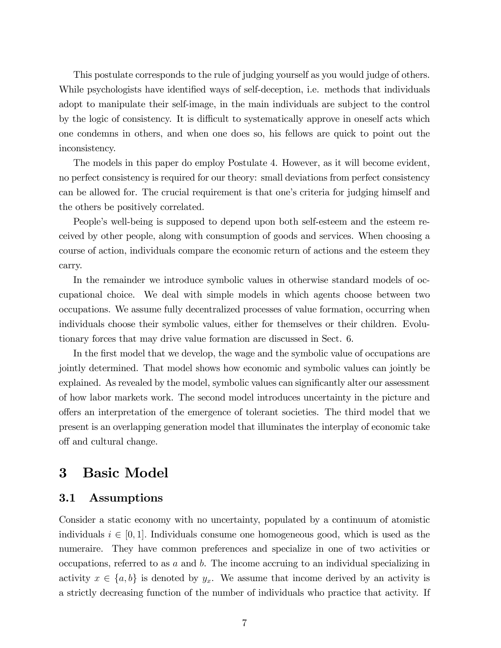This postulate corresponds to the rule of judging yourself as you would judge of others. While psychologists have identified ways of self-deception, i.e. methods that individuals adopt to manipulate their self-image, in the main individuals are subject to the control by the logic of consistency. It is difficult to systematically approve in oneself acts which one condemns in others, and when one does so, his fellows are quick to point out the inconsistency.

The models in this paper do employ Postulate 4. However, as it will become evident, no perfect consistency is required for our theory: small deviations from perfect consistency can be allowed for. The crucial requirement is that one's criteria for judging himself and the others be positively correlated.

People's well-being is supposed to depend upon both self-esteem and the esteem received by other people, along with consumption of goods and services. When choosing a course of action, individuals compare the economic return of actions and the esteem they carry.

In the remainder we introduce symbolic values in otherwise standard models of occupational choice. We deal with simple models in which agents choose between two occupations. We assume fully decentralized processes of value formation, occurring when individuals choose their symbolic values, either for themselves or their children. Evolutionary forces that may drive value formation are discussed in Sect. 6.

In the first model that we develop, the wage and the symbolic value of occupations are jointly determined. That model shows how economic and symbolic values can jointly be explained. As revealed by the model, symbolic values can significantly alter our assessment of how labor markets work. The second model introduces uncertainty in the picture and offers an interpretation of the emergence of tolerant societies. The third model that we present is an overlapping generation model that illuminates the interplay of economic take off and cultural change.

# 3 Basic Model

## 3.1 Assumptions

Consider a static economy with no uncertainty, populated by a continuum of atomistic individuals  $i \in [0, 1]$ . Individuals consume one homogeneous good, which is used as the numeraire. They have common preferences and specialize in one of two activities or occupations, referred to as a and b. The income accruing to an individual specializing in activity  $x \in \{a, b\}$  is denoted by  $y_x$ . We assume that income derived by an activity is a strictly decreasing function of the number of individuals who practice that activity. If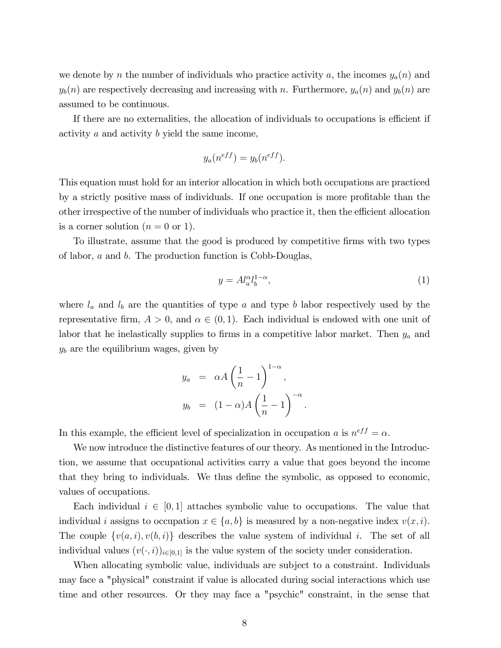we denote by n the number of individuals who practice activity a, the incomes  $y_a(n)$  and  $y_b(n)$  are respectively decreasing and increasing with n. Furthermore,  $y_a(n)$  and  $y_b(n)$  are assumed to be continuous.

If there are no externalities, the allocation of individuals to occupations is efficient if activity a and activity b yield the same income,

$$
y_a(n^{eff}) = y_b(n^{eff}).
$$

This equation must hold for an interior allocation in which both occupations are practiced by a strictly positive mass of individuals. If one occupation is more profitable than the other irrespective of the number of individuals who practice it, then the efficient allocation is a corner solution  $(n = 0 \text{ or } 1)$ .

To illustrate, assume that the good is produced by competitive Örms with two types of labor, a and b. The production function is Cobb-Douglas,

$$
y = A l_a^{\alpha} l_b^{1-\alpha},\tag{1}
$$

where  $l_a$  and  $l_b$  are the quantities of type a and type b labor respectively used by the representative firm,  $A > 0$ , and  $\alpha \in (0, 1)$ . Each individual is endowed with one unit of labor that he inelastically supplies to firms in a competitive labor market. Then  $y_a$  and  $y<sub>b</sub>$  are the equilibrium wages, given by

$$
y_a = \alpha A \left(\frac{1}{n} - 1\right)^{1-\alpha},
$$
  

$$
y_b = (1-\alpha)A \left(\frac{1}{n} - 1\right)^{-\alpha}.
$$

In this example, the efficient level of specialization in occupation a is  $n^{eff} = \alpha$ .

We now introduce the distinctive features of our theory. As mentioned in the Introduction, we assume that occupational activities carry a value that goes beyond the income that they bring to individuals. We thus define the symbolic, as opposed to economic, values of occupations.

Each individual  $i \in [0, 1]$  attaches symbolic value to occupations. The value that individual *i* assigns to occupation  $x \in \{a, b\}$  is measured by a non-negative index  $v(x, i)$ . The couple  $\{v(a, i), v(b, i)\}\)$  describes the value system of individual i. The set of all individual values  $(v(\cdot, i))_{i\in[0,1]}$  is the value system of the society under consideration.

When allocating symbolic value, individuals are subject to a constraint. Individuals may face a "physical" constraint if value is allocated during social interactions which use time and other resources. Or they may face a "psychic" constraint, in the sense that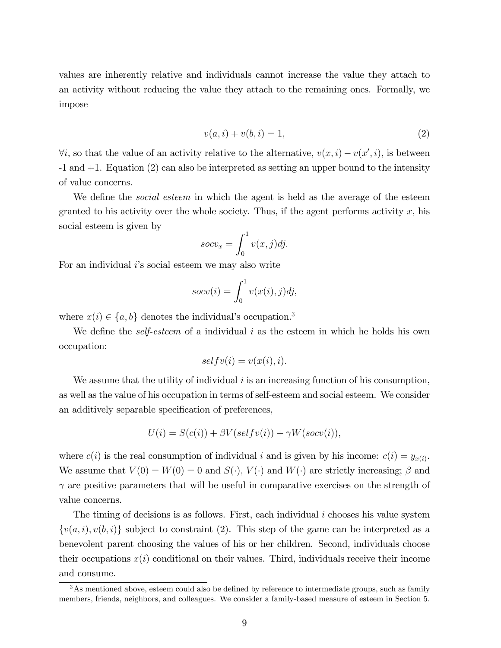values are inherently relative and individuals cannot increase the value they attach to an activity without reducing the value they attach to the remaining ones. Formally, we impose

$$
v(a,i) + v(b,i) = 1,
$$
\n(2)

 $\forall i$ , so that the value of an activity relative to the alternative,  $v(x, i) - v(x', i)$ , is between -1 and +1. Equation (2) can also be interpreted as setting an upper bound to the intensity of value concerns.

We define the *social esteem* in which the agent is held as the average of the esteem granted to his activity over the whole society. Thus, if the agent performs activity  $x$ , his social esteem is given by

$$
socv_x = \int_0^1 v(x,j) \, dy.
$$

For an individual  $i$ 's social esteem we may also write

$$
socv(i) = \int_0^1 v(x(i), j)dj,
$$

where  $x(i) \in \{a, b\}$  denotes the individual's occupation.<sup>3</sup>

We define the *self-esteem* of a individual i as the esteem in which he holds his own occupation:

$$
selfv(i) = v(x(i), i).
$$

We assume that the utility of individual  $i$  is an increasing function of his consumption, as well as the value of his occupation in terms of self-esteem and social esteem. We consider an additively separable specification of preferences,

$$
U(i) = S(c(i)) + \beta V(selfv(i)) + \gamma W(socv(i)),
$$

where  $c(i)$  is the real consumption of individual i and is given by his income:  $c(i) = y_{x(i)}$ . We assume that  $V(0) = W(0) = 0$  and  $S(\cdot), V(\cdot)$  and  $W(\cdot)$  are strictly increasing;  $\beta$  and  $\gamma$  are positive parameters that will be useful in comparative exercises on the strength of value concerns.

The timing of decisions is as follows. First, each individual  $i$  chooses his value system  $\{v(a, i), v(b, i)\}\$  subject to constraint (2). This step of the game can be interpreted as a benevolent parent choosing the values of his or her children. Second, individuals choose their occupations  $x(i)$  conditional on their values. Third, individuals receive their income and consume.

 $3$ As mentioned above, esteem could also be defined by reference to intermediate groups, such as family members, friends, neighbors, and colleagues. We consider a family-based measure of esteem in Section 5.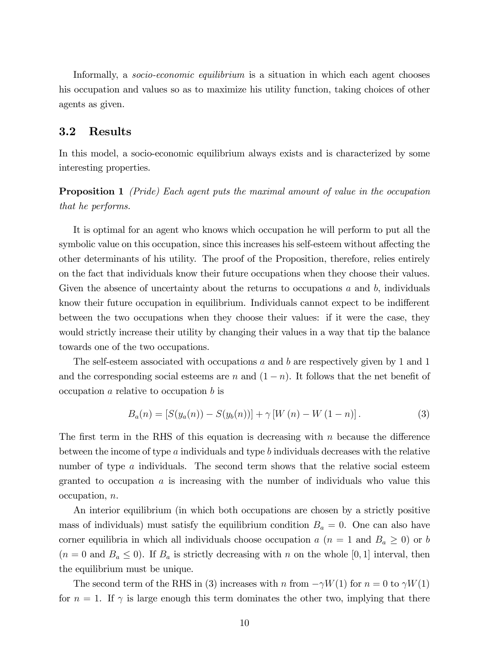Informally, a *socio-economic equilibrium* is a situation in which each agent chooses his occupation and values so as to maximize his utility function, taking choices of other agents as given.

### 3.2 Results

In this model, a socio-economic equilibrium always exists and is characterized by some interesting properties.

**Proposition 1** (Pride) Each agent puts the maximal amount of value in the occupation that he performs.

It is optimal for an agent who knows which occupation he will perform to put all the symbolic value on this occupation, since this increases his self-esteem without affecting the other determinants of his utility. The proof of the Proposition, therefore, relies entirely on the fact that individuals know their future occupations when they choose their values. Given the absence of uncertainty about the returns to occupations  $a$  and  $b$ , individuals know their future occupation in equilibrium. Individuals cannot expect to be indifferent between the two occupations when they choose their values: if it were the case, they would strictly increase their utility by changing their values in a way that tip the balance towards one of the two occupations.

The self-esteem associated with occupations a and b are respectively given by 1 and 1 and the corresponding social esteems are n and  $(1 - n)$ . It follows that the net benefit of occupation  $a$  relative to occupation  $b$  is

$$
B_a(n) = [S(y_a(n)) - S(y_b(n))] + \gamma [W(n) - W(1 - n)].
$$
\n(3)

The first term in the RHS of this equation is decreasing with  $n$  because the difference between the income of type a individuals and type b individuals decreases with the relative number of type  $\alpha$  individuals. The second term shows that the relative social esteem granted to occupation  $\alpha$  is increasing with the number of individuals who value this occupation, n.

An interior equilibrium (in which both occupations are chosen by a strictly positive mass of individuals) must satisfy the equilibrium condition  $B_a = 0$ . One can also have corner equilibria in which all individuals choose occupation  $a(n = 1 \text{ and } B_a \geq 0)$  or b  $(n = 0 \text{ and } B_a \leq 0)$ . If  $B_a$  is strictly decreasing with n on the whole [0, 1] interval, then the equilibrium must be unique.

The second term of the RHS in (3) increases with n from  $-\gamma W(1)$  for  $n = 0$  to  $\gamma W(1)$ for  $n = 1$ . If  $\gamma$  is large enough this term dominates the other two, implying that there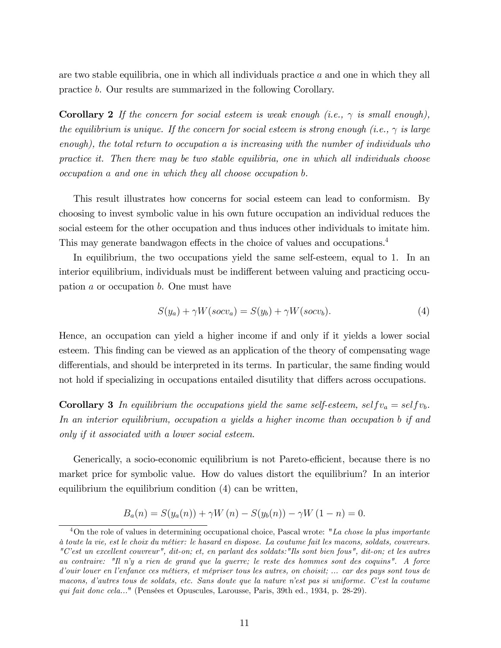are two stable equilibria, one in which all individuals practice a and one in which they all practice b. Our results are summarized in the following Corollary.

**Corollary 2** If the concern for social esteem is weak enough (i.e.,  $\gamma$  is small enough), the equilibrium is unique. If the concern for social esteem is strong enough (i.e.,  $\gamma$  is large enough), the total return to occupation a is increasing with the number of individuals who practice it. Then there may be two stable equilibria, one in which all individuals choose occupation a and one in which they all choose occupation b.

This result illustrates how concerns for social esteem can lead to conformism. By choosing to invest symbolic value in his own future occupation an individual reduces the social esteem for the other occupation and thus induces other individuals to imitate him. This may generate bandwagon effects in the choice of values and occupations.<sup>4</sup>

In equilibrium, the two occupations yield the same self-esteem, equal to 1. In an interior equilibrium, individuals must be indifferent between valuing and practicing occupation a or occupation b. One must have

$$
S(y_a) + \gamma W(socv_a) = S(y_b) + \gamma W(socv_b). \tag{4}
$$

Hence, an occupation can yield a higher income if and only if it yields a lower social esteem. This finding can be viewed as an application of the theory of compensating wage differentials, and should be interpreted in its terms. In particular, the same finding would not hold if specializing in occupations entailed disutility that differs across occupations.

**Corollary 3** In equilibrium the occupations yield the same self-esteem, self  $v_a = selfv_b$ . In an interior equilibrium, occupation a yields a higher income than occupation b if and only if it associated with a lower social esteem.

Generically, a socio-economic equilibrium is not Pareto-efficient, because there is no market price for symbolic value. How do values distort the equilibrium? In an interior equilibrium the equilibrium condition (4) can be written,

$$
B_a(n) = S(y_a(n)) + \gamma W(n) - S(y_b(n)) - \gamma W(1 - n) = 0.
$$

 $4$ On the role of values in determining occupational choice, Pascal wrote: "La chose la plus importante ‡ toute la vie, est le choix du mÈtier: le hasard en dispose. La coutume fait les macons, soldats, couvreurs. "Cíest un excellent couvreur", dit-on; et, en parlant des soldats:"Ils sont bien fous", dit-on; et les autres au contraire: "Il níy a rien de grand que la guerre; le reste des hommes sont des coquins". A force d'ouir louer en l'enfance ces métiers, et mépriser tous les autres, on choisit; ... car des pays sont tous de macons, díautres tous de soldats, etc. Sans doute que la nature níest pas si uniforme. Cíest la coutume qui fait donc cela..." (Pensées et Opuscules, Larousse, Paris, 39th ed., 1934, p. 28-29).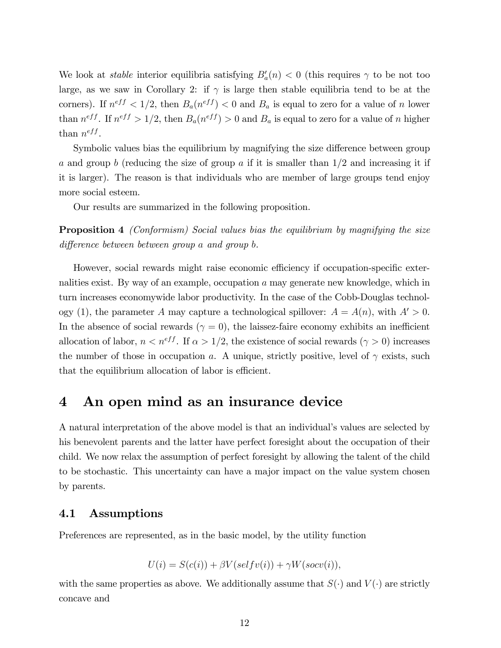We look at *stable* interior equilibria satisfying  $B'_a(n) < 0$  (this requires  $\gamma$  to be not too large, as we saw in Corollary 2: if  $\gamma$  is large then stable equilibria tend to be at the corners). If  $n^{eff} < 1/2$ , then  $B_a(n^{eff}) < 0$  and  $B_a$  is equal to zero for a value of n lower than  $n^{eff}$ . If  $n^{eff} > 1/2$ , then  $B_a(n^{eff}) > 0$  and  $B_a$  is equal to zero for a value of n higher than  $n^{eff}$ .

Symbolic values bias the equilibrium by magnifying the size difference between group a and group b (reducing the size of group a if it is smaller than  $1/2$  and increasing it if it is larger). The reason is that individuals who are member of large groups tend enjoy more social esteem.

Our results are summarized in the following proposition.

**Proposition 4** (Conformism) Social values bias the equilibrium by magnifying the size difference between between group a and group b.

However, social rewards might raise economic efficiency if occupation-specific externalities exist. By way of an example, occupation a may generate new knowledge, which in turn increases economywide labor productivity. In the case of the Cobb-Douglas technology (1), the parameter A may capture a technological spillover:  $A = A(n)$ , with  $A' > 0$ . In the absence of social rewards ( $\gamma = 0$ ), the laissez-faire economy exhibits an inefficient allocation of labor,  $n < n^{eff}$ . If  $\alpha > 1/2$ , the existence of social rewards  $(\gamma > 0)$  increases the number of those in occupation a. A unique, strictly positive, level of  $\gamma$  exists, such that the equilibrium allocation of labor is efficient.

## 4 An open mind as an insurance device

A natural interpretation of the above model is that an individual's values are selected by his benevolent parents and the latter have perfect foresight about the occupation of their child. We now relax the assumption of perfect foresight by allowing the talent of the child to be stochastic. This uncertainty can have a major impact on the value system chosen by parents.

### 4.1 Assumptions

Preferences are represented, as in the basic model, by the utility function

$$
U(i) = S(c(i)) + \beta V(selfv(i)) + \gamma W(socv(i)),
$$

with the same properties as above. We additionally assume that  $S(\cdot)$  and  $V(\cdot)$  are strictly concave and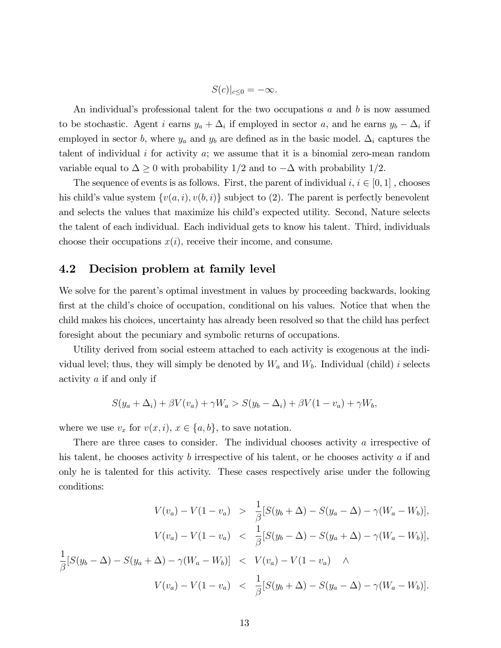$$
S(c)|_{c\leq 0}=-\infty.
$$

An individual's professional talent for the two occupations  $a$  and  $b$  is now assumed to be stochastic. Agent *i* earns  $y_a + \Delta_i$  if employed in sector *a*, and he earns  $y_b - \Delta_i$  if employed in sector b, where  $y_a$  and  $y_b$  are defined as in the basic model.  $\Delta_i$  captures the talent of individual  $i$  for activity  $a$ ; we assume that it is a binomial zero-mean random variable equal to  $\Delta \geq 0$  with probability  $1/2$  and to  $-\Delta$  with probability  $1/2$ .

The sequence of events is as follows. First, the parent of individual  $i, i \in [0, 1]$ , chooses his child's value system  $\{v(a, i), v(b, i)\}\$  subject to (2). The parent is perfectly benevolent and selects the values that maximize his child's expected utility. Second, Nature selects the talent of each individual. Each individual gets to know his talent. Third, individuals choose their occupations  $x(i)$ , receive their income, and consume.

## 4.2 Decision problem at family level

We solve for the parent's optimal investment in values by proceeding backwards, looking first at the child's choice of occupation, conditional on his values. Notice that when the child makes his choices, uncertainty has already been resolved so that the child has perfect foresight about the pecuniary and symbolic returns of occupations.

Utility derived from social esteem attached to each activity is exogenous at the individual level; thus, they will simply be denoted by  $W_a$  and  $W_b$ . Individual (child) i selects activity a if and only if

$$
S(y_a + \Delta_i) + \beta V(v_a) + \gamma W_a > S(y_b - \Delta_i) + \beta V(1 - v_a) + \gamma W_b,
$$

where we use  $v_x$  for  $v(x, i)$ ,  $x \in \{a, b\}$ , to save notation.

There are three cases to consider. The individual chooses activity a irrespective of his talent, he chooses activity b irrespective of his talent, or he chooses activity a if and only he is talented for this activity. These cases respectively arise under the following conditions:

$$
V(v_a) - V(1 - v_a) > \frac{1}{\beta} [S(y_b + \Delta) - S(y_a - \Delta) - \gamma (W_a - W_b)],
$$
  

$$
V(v_a) - V(1 - v_a) < \frac{1}{\beta} [S(y_b - \Delta) - S(y_a + \Delta) - \gamma (W_a - W_b)],
$$
  

$$
\frac{1}{\beta} [S(y_b - \Delta) - S(y_a + \Delta) - \gamma (W_a - W_b)] < V(v_a) - V(1 - v_a) \wedge
$$
  

$$
V(v_a) - V(1 - v_a) < \frac{1}{\beta} [S(y_b + \Delta) - S(y_a - \Delta) - \gamma (W_a - W_b)].
$$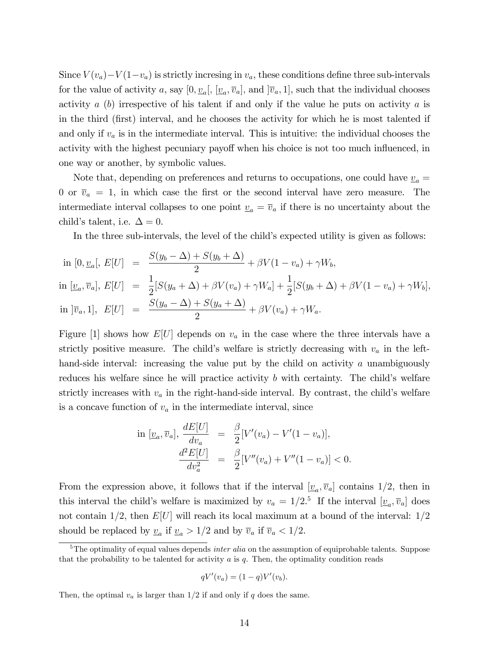Since  $V(v_a) - V(1-v_a)$  is strictly incresing in  $v_a$ , these conditions define three sub-intervals for the value of activity a, say  $[0, \underline{v}_a], [\underline{v}_a, \overline{v}_a],$  and  $[\overline{v}_a, 1],$  such that the individual chooses activity  $a(b)$  irrespective of his talent if and only if the value he puts on activity  $a$  is in the third (Örst) interval, and he chooses the activity for which he is most talented if and only if  $v_a$  is in the intermediate interval. This is intuitive: the individual chooses the activity with the highest pecuniary payoff when his choice is not too much influenced, in one way or another, by symbolic values.

Note that, depending on preferences and returns to occupations, one could have  $v_a =$ 0 or  $\bar{v}_a = 1$ , in which case the first or the second interval have zero measure. The intermediate interval collapses to one point  $\underline{v}_a = \overline{v}_a$  if there is no uncertainty about the child's talent, i.e.  $\Delta = 0$ .

In the three sub-intervals, the level of the child's expected utility is given as follows:

in 
$$
[0, \underline{v}_a], E[U] = \frac{S(y_b - \Delta) + S(y_b + \Delta)}{2} + \beta V(1 - v_a) + \gamma W_b,
$$
  
\nin  $[\underline{v}_a, \overline{v}_a], E[U] = \frac{1}{2}[S(y_a + \Delta) + \beta V(v_a) + \gamma W_a] + \frac{1}{2}[S(y_b + \Delta) + \beta V(1 - v_a) + \gamma W_b],$   
\nin  $[\overline{v}_a, 1], E[U] = \frac{S(y_a - \Delta) + S(y_a + \Delta)}{2} + \beta V(v_a) + \gamma W_a.$ 

Figure [1] shows how  $E[U]$  depends on  $v_a$  in the case where the three intervals have a strictly positive measure. The child's welfare is strictly decreasing with  $v_a$  in the lefthand-side interval: increasing the value put by the child on activity a unambiguously reduces his welfare since he will practice activity  $b$  with certainty. The child's welfare strictly increases with  $v_a$  in the right-hand-side interval. By contrast, the child's welfare is a concave function of  $v_a$  in the intermediate interval, since

in 
$$
[\underline{v}_a, \overline{v}_a], \frac{dE[U]}{dv_a} = \frac{\beta}{2} [V'(v_a) - V'(1 - v_a)],
$$
  

$$
\frac{d^2E[U]}{dv_a^2} = \frac{\beta}{2} [V''(v_a) + V''(1 - v_a)] < 0.
$$

From the expression above, it follows that if the interval  $[\underline{v}_a, \overline{v}_a]$  contains 1/2, then in this interval the child's welfare is maximized by  $v_a = 1/2$ .<sup>5</sup> If the interval  $[\underline{v}_a, \overline{v}_a]$  does not contain  $1/2$ , then  $E[U]$  will reach its local maximum at a bound of the interval:  $1/2$ should be replaced by  $\underline{v}_a$  if  $\underline{v}_a > 1/2$  and by  $\overline{v}_a$  if  $\overline{v}_a < 1/2$ .

$$
qV'(v_a) = (1-q)V'(v_b).
$$

Then, the optimal  $v_a$  is larger than  $1/2$  if and only if q does the same.

 $5$ The optimality of equal values depends *inter alia* on the assumption of equiprobable talents. Suppose that the probability to be talented for activity  $a$  is  $q$ . Then, the optimality condition reads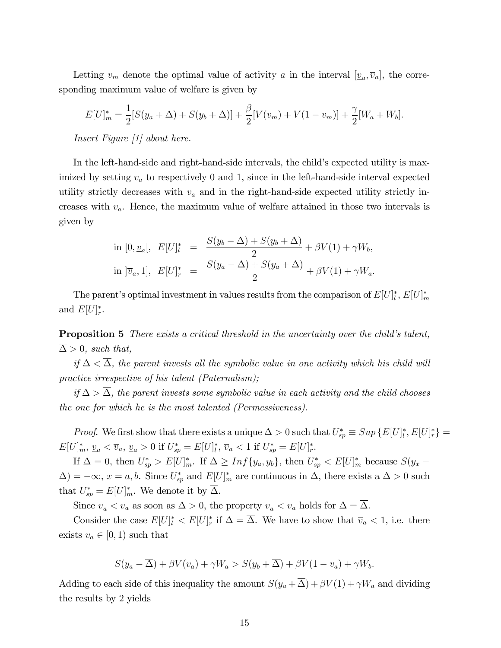Letting  $v_m$  denote the optimal value of activity a in the interval  $[\underline{v}_a, \overline{v}_a]$ , the corresponding maximum value of welfare is given by

$$
E[U]_m^* = \frac{1}{2}[S(y_a + \Delta) + S(y_b + \Delta)] + \frac{\beta}{2}[V(v_m) + V(1 - v_m)] + \frac{\gamma}{2}[W_a + W_b].
$$

Insert Figure [1] about here.

In the left-hand-side and right-hand-side intervals, the child's expected utility is maximized by setting  $v_a$  to respectively 0 and 1, since in the left-hand-side interval expected utility strictly decreases with  $v_a$  and in the right-hand-side expected utility strictly increases with  $v_a$ . Hence, the maximum value of welfare attained in those two intervals is given by

in 
$$
[0, \underline{v}_a], E[U]^* = \frac{S(y_b - \Delta) + S(y_b + \Delta)}{2} + \beta V(1) + \gamma W_b,
$$
  
in  $|\overline{v}_a, 1|, E[U]^* = \frac{S(y_a - \Delta) + S(y_a + \Delta)}{2} + \beta V(1) + \gamma W_a.$ 

The parent's optimal investment in values results from the comparison of  $E[U]_l^*, E[U]_m^*$ and  $E[U]_r^*$ .

**Proposition 5** There exists a critical threshold in the uncertainty over the child's talent,  $\Delta > 0$ , such that,

if  $\Delta < \overline{\Delta}$ , the parent invests all the symbolic value in one activity which his child will practice irrespective of his talent (Paternalism);

if  $\Delta > \Delta$ , the parent invests some symbolic value in each activity and the child chooses the one for which he is the most talented (Permessiveness).

*Proof.* We first show that there exists a unique  $\Delta > 0$  such that  $U_{sp}^* \equiv Sup \{E[U]_l^*, E[U]_r^*\} =$  $E[U]_m^*, \underline{v}_a < \overline{v}_a, \underline{v}_a > 0$  if  $U_{sp}^* = E[U]_l^*, \overline{v}_a < 1$  if  $U_{sp}^* = E[U]_r^*.$ 

If  $\Delta = 0$ , then  $U_{sp}^* > E[U]_{m}^*$ . If  $\Delta \geq Inf\{y_a, y_b\}$ , then  $U_{sp}^* < E[U]_{m}^*$  because  $S(y_x (\Delta) = -\infty, x = a, b$ . Since  $U_{sp}^*$  and  $E[U]_{m}^*$  are continuous in  $\Delta$ , there exists a  $\Delta > 0$  such that  $U_{sp}^* = E[U]_{m}^*$ . We denote it by  $\Delta$ .

Since  $\underline{v}_a < \overline{v}_a$  as soon as  $\Delta > 0$ , the property  $\underline{v}_a < \overline{v}_a$  holds for  $\Delta = \overline{\Delta}$ .

Consider the case  $E[U]^*_{l} < E[U]^*_{r}$  if  $\Delta = \Delta$ . We have to show that  $\overline{v}_a < 1$ , i.e. there exists  $v_a \in [0, 1)$  such that

$$
S(y_a - \overline{\Delta}) + \beta V(v_a) + \gamma W_a > S(y_b + \overline{\Delta}) + \beta V(1 - v_a) + \gamma W_b.
$$

Adding to each side of this inequality the amount  $S(y_a + \overline{\Delta}) + \beta V(1) + \gamma W_a$  and dividing the results by 2 yields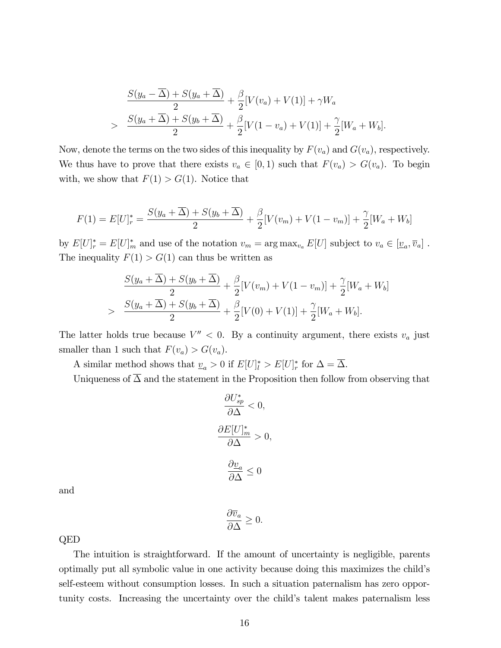$$
\frac{S(y_a - \overline{\Delta}) + S(y_a + \overline{\Delta})}{2} + \frac{\beta}{2} [V(v_a) + V(1)] + \gamma W_a
$$
  
> 
$$
\frac{S(y_a + \overline{\Delta}) + S(y_b + \overline{\Delta})}{2} + \frac{\beta}{2} [V(1 - v_a) + V(1)] + \frac{\gamma}{2} [W_a + W_b].
$$

Now, denote the terms on the two sides of this inequality by  $F(v_a)$  and  $G(v_a)$ , respectively. We thus have to prove that there exists  $v_a \in [0, 1)$  such that  $F(v_a) > G(v_a)$ . To begin with, we show that  $F(1) > G(1)$ . Notice that

$$
F(1) = E[U]_r^* = \frac{S(y_a + \overline{\Delta}) + S(y_b + \overline{\Delta})}{2} + \frac{\beta}{2}[V(v_m) + V(1 - v_m)] + \frac{\gamma}{2}[W_a + W_b]
$$

by  $E[U]^*_r = E[U]^*_m$  and use of the notation  $v_m = \arg \max_{v_a} E[U]$  subject to  $v_a \in [\underline{v}_a, \overline{v}_a]$ . The inequality  $F(1) > G(1)$  can thus be written as

$$
\frac{S(y_a + \overline{\Delta}) + S(y_b + \overline{\Delta})}{2} + \frac{\beta}{2} [V(v_m) + V(1 - v_m)] + \frac{\gamma}{2} [W_a + W_b]
$$
  
> 
$$
\frac{S(y_a + \overline{\Delta}) + S(y_b + \overline{\Delta})}{2} + \frac{\beta}{2} [V(0) + V(1)] + \frac{\gamma}{2} [W_a + W_b].
$$

The latter holds true because  $V'' < 0$ . By a continuity argument, there exists  $v_a$  just smaller than 1 such that  $F(v_a) > G(v_a)$ .

A similar method shows that  $\underline{v}_a > 0$  if  $E[U]^*_{l} > E[U]^*_{r}$  for  $\Delta = \Delta$ .

Uniqueness of  $\overline{\Delta}$  and the statement in the Proposition then follow from observing that

$$
\frac{\partial U_{sp}^*}{\partial \Delta} < 0,
$$
\n
$$
\frac{\partial E[U]_m^*}{\partial \Delta} > 0,
$$
\n
$$
\frac{\partial \underline{v}_a}{\partial \Delta} \le 0
$$

and

$$
\frac{\partial \overline{v}_a}{\partial \Delta} \ge 0.
$$

QED

The intuition is straightforward. If the amount of uncertainty is negligible, parents optimally put all symbolic value in one activity because doing this maximizes the childís self-esteem without consumption losses. In such a situation paternalism has zero opportunity costs. Increasing the uncertainty over the child's talent makes paternalism less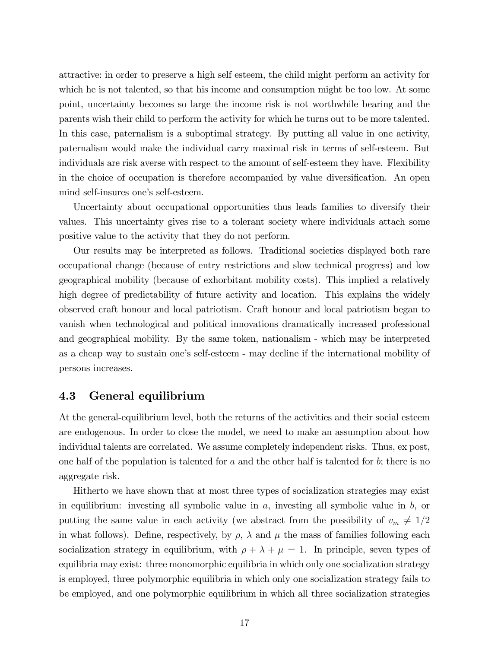attractive: in order to preserve a high self esteem, the child might perform an activity for which he is not talented, so that his income and consumption might be too low. At some point, uncertainty becomes so large the income risk is not worthwhile bearing and the parents wish their child to perform the activity for which he turns out to be more talented. In this case, paternalism is a suboptimal strategy. By putting all value in one activity, paternalism would make the individual carry maximal risk in terms of self-esteem. But individuals are risk averse with respect to the amount of self-esteem they have. Flexibility in the choice of occupation is therefore accompanied by value diversification. An open mind self-insures one's self-esteem.

Uncertainty about occupational opportunities thus leads families to diversify their values. This uncertainty gives rise to a tolerant society where individuals attach some positive value to the activity that they do not perform.

Our results may be interpreted as follows. Traditional societies displayed both rare occupational change (because of entry restrictions and slow technical progress) and low geographical mobility (because of exhorbitant mobility costs). This implied a relatively high degree of predictability of future activity and location. This explains the widely observed craft honour and local patriotism. Craft honour and local patriotism began to vanish when technological and political innovations dramatically increased professional and geographical mobility. By the same token, nationalism - which may be interpreted as a cheap way to sustain one's self-esteem - may decline if the international mobility of persons increases.

### 4.3 General equilibrium

At the general-equilibrium level, both the returns of the activities and their social esteem are endogenous. In order to close the model, we need to make an assumption about how individual talents are correlated. We assume completely independent risks. Thus, ex post, one half of the population is talented for a and the other half is talented for  $b$ ; there is no aggregate risk.

Hitherto we have shown that at most three types of socialization strategies may exist in equilibrium: investing all symbolic value in  $a$ , investing all symbolic value in  $b$ , or putting the same value in each activity (we abstract from the possibility of  $v_m \neq 1/2$ in what follows). Define, respectively, by  $\rho$ ,  $\lambda$  and  $\mu$  the mass of families following each socialization strategy in equilibrium, with  $\rho + \lambda + \mu = 1$ . In principle, seven types of equilibria may exist: three monomorphic equilibria in which only one socialization strategy is employed, three polymorphic equilibria in which only one socialization strategy fails to be employed, and one polymorphic equilibrium in which all three socialization strategies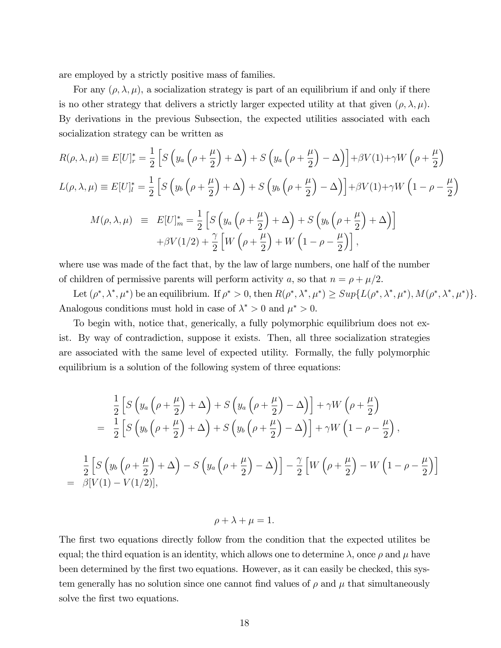are employed by a strictly positive mass of families.

For any  $(\rho, \lambda, \mu)$ , a socialization strategy is part of an equilibrium if and only if there is no other strategy that delivers a strictly larger expected utility at that given  $(\rho, \lambda, \mu)$ . By derivations in the previous Subsection, the expected utilities associated with each socialization strategy can be written as

$$
R(\rho, \lambda, \mu) \equiv E[U]_r^* = \frac{1}{2} \left[ S \left( y_a \left( \rho + \frac{\mu}{2} \right) + \Delta \right) + S \left( y_a \left( \rho + \frac{\mu}{2} \right) - \Delta \right) \right] + \beta V(1) + \gamma W \left( \rho + \frac{\mu}{2} \right)
$$
  
\n
$$
L(\rho, \lambda, \mu) \equiv E[U]_l^* = \frac{1}{2} \left[ S \left( y_b \left( \rho + \frac{\mu}{2} \right) + \Delta \right) + S \left( y_b \left( \rho + \frac{\mu}{2} \right) - \Delta \right) \right] + \beta V(1) + \gamma W \left( 1 - \rho - \frac{\mu}{2} \right)
$$
  
\n
$$
M(\rho, \lambda, \mu) \equiv E[U]_m^* = \frac{1}{2} \left[ S \left( y_a \left( \rho + \frac{\mu}{2} \right) + \Delta \right) + S \left( y_b \left( \rho + \frac{\mu}{2} \right) + \Delta \right) \right]
$$
  
\n
$$
+ \beta V(1/2) + \frac{\gamma}{2} \left[ W \left( \rho + \frac{\mu}{2} \right) + W \left( 1 - \rho - \frac{\mu}{2} \right) \right],
$$

where use was made of the fact that, by the law of large numbers, one half of the number of children of permissive parents will perform activity a, so that  $n = \rho + \mu/2$ .

Let  $(\rho^*, \lambda^*, \mu^*)$  be an equilibrium. If  $\rho^* > 0$ , then  $R(\rho^*, \lambda^*, \mu^*) \geq Sup \{L(\rho^*, \lambda^*, \mu^*), M(\rho^*, \lambda^*, \mu^*)\}$ . Analogous conditions must hold in case of  $\lambda^* > 0$  and  $\mu^* > 0$ .

To begin with, notice that, generically, a fully polymorphic equilibrium does not exist. By way of contradiction, suppose it exists. Then, all three socialization strategies are associated with the same level of expected utility. Formally, the fully polymorphic equilibrium is a solution of the following system of three equations:

$$
\frac{1}{2}\left[S\left(y_a\left(\rho+\frac{\mu}{2}\right)+\Delta\right)+S\left(y_a\left(\rho+\frac{\mu}{2}\right)-\Delta\right)\right]+\gamma W\left(\rho+\frac{\mu}{2}\right)
$$
\n
$$
=\frac{1}{2}\left[S\left(y_b\left(\rho+\frac{\mu}{2}\right)+\Delta\right)+S\left(y_b\left(\rho+\frac{\mu}{2}\right)-\Delta\right)\right]+\gamma W\left(1-\rho-\frac{\mu}{2}\right),
$$
\n
$$
\frac{1}{2}\left[S\left(y_b\left(\rho+\frac{\mu}{2}\right)+\Delta\right)-S\left(y_a\left(\rho+\frac{\mu}{2}\right)-\Delta\right)\right]-\frac{\gamma}{2}\left[W\left(\rho+\frac{\mu}{2}\right)-W\left(1-\rho-\frac{\mu}{2}\right)\right]
$$
\n
$$
=\beta[V(1)-V(1/2)],
$$

#### $\rho + \lambda + \mu = 1.$

The first two equations directly follow from the condition that the expected utilites be equal; the third equation is an identity, which allows one to determine  $\lambda$ , once  $\rho$  and  $\mu$  have been determined by the first two equations. However, as it can easily be checked, this system generally has no solution since one cannot find values of  $\rho$  and  $\mu$  that simultaneously solve the first two equations.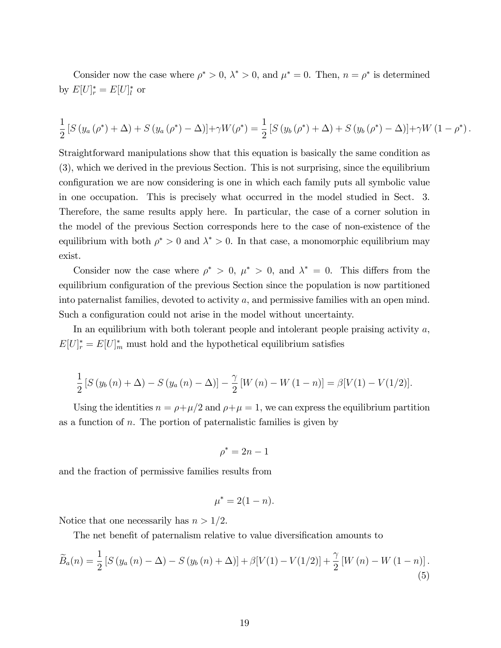Consider now the case where  $\rho^* > 0$ ,  $\lambda^* > 0$ , and  $\mu^* = 0$ . Then,  $n = \rho^*$  is determined by  $E[U]_r^* = E[U]_l^*$  or

$$
\frac{1}{2} [S (y_a (\rho^*) + \Delta) + S (y_a (\rho^*) - \Delta)] + \gamma W(\rho^*) = \frac{1}{2} [S (y_b (\rho^*) + \Delta) + S (y_b (\rho^*) - \Delta)] + \gamma W (1 - \rho^*).
$$

Straightforward manipulations show that this equation is basically the same condition as (3), which we derived in the previous Section. This is not surprising, since the equilibrium configuration we are now considering is one in which each family puts all symbolic value in one occupation. This is precisely what occurred in the model studied in Sect. 3. Therefore, the same results apply here. In particular, the case of a corner solution in the model of the previous Section corresponds here to the case of non-existence of the equilibrium with both  $\rho^* > 0$  and  $\lambda^* > 0$ . In that case, a monomorphic equilibrium may exist.

Consider now the case where  $\rho^* > 0$ ,  $\mu^* > 0$ , and  $\lambda^* = 0$ . This differs from the equilibrium configuration of the previous Section since the population is now partitioned into paternalist families, devoted to activity a, and permissive families with an open mind. Such a configuration could not arise in the model without uncertainty.

In an equilibrium with both tolerant people and intolerant people praising activity  $a$ ,  $E[U]_r^* = E[U]_m^*$  must hold and the hypothetical equilibrium satisfies

$$
\frac{1}{2} [S(y_b(n) + \Delta) - S(y_a(n) - \Delta)] - \frac{\gamma}{2} [W(n) - W(1 - n)] = \beta [V(1) - V(1/2)].
$$

Using the identities  $n = \rho + \mu/2$  and  $\rho + \mu = 1$ , we can express the equilibrium partition as a function of  $n$ . The portion of paternalistic families is given by

$$
\rho^* = 2n - 1
$$

and the fraction of permissive families results from

$$
\mu^* = 2(1 - n).
$$

Notice that one necessarily has  $n > 1/2$ .

The net benefit of paternalism relative to value diversification amounts to

$$
\widetilde{B}_a(n) = \frac{1}{2} \left[ S \left( y_a(n) - \Delta \right) - S \left( y_b(n) + \Delta \right) \right] + \beta \left[ V(1) - V(1/2) \right] + \frac{\gamma}{2} \left[ W(n) - W(1-n) \right]. \tag{5}
$$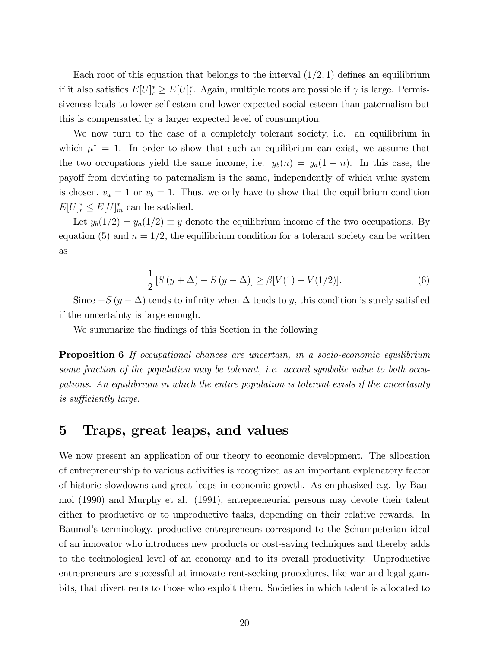Each root of this equation that belongs to the interval  $(1/2, 1)$  defines an equilibrium if it also satisfies  $E[U]^*_{l} \geq E[U]^*_{l}$ . Again, multiple roots are possible if  $\gamma$  is large. Permissiveness leads to lower self-estem and lower expected social esteem than paternalism but this is compensated by a larger expected level of consumption.

We now turn to the case of a completely tolerant society, i.e. an equilibrium in which  $\mu^* = 1$ . In order to show that such an equilibrium can exist, we assume that the two occupations yield the same income, i.e.  $y_b(n) = y_a(1 - n)$ . In this case, the payo§ from deviating to paternalism is the same, independently of which value system is chosen,  $v_a = 1$  or  $v_b = 1$ . Thus, we only have to show that the equilibrium condition  $E[U]_r^* \leq E[U]_m^*$  can be satisfied.

Let  $y_b(1/2) = y_a(1/2) \equiv y$  denote the equilibrium income of the two occupations. By equation (5) and  $n = 1/2$ , the equilibrium condition for a tolerant society can be written as

$$
\frac{1}{2}[S(y+\Delta) - S(y-\Delta)] \ge \beta[V(1) - V(1/2)].
$$
\n(6)

Since  $-S(y - \Delta)$  tends to infinity when  $\Delta$  tends to y, this condition is surely satisfied if the uncertainty is large enough.

We summarize the findings of this Section in the following

Proposition 6 If occupational chances are uncertain, in a socio-economic equilibrium some fraction of the population may be tolerant, i.e. accord symbolic value to both occupations. An equilibrium in which the entire population is tolerant exists if the uncertainty is sufficiently large.

## 5 Traps, great leaps, and values

We now present an application of our theory to economic development. The allocation of entrepreneurship to various activities is recognized as an important explanatory factor of historic slowdowns and great leaps in economic growth. As emphasized e.g. by Baumol (1990) and Murphy et al. (1991), entrepreneurial persons may devote their talent either to productive or to unproductive tasks, depending on their relative rewards. In Baumol's terminology, productive entrepreneurs correspond to the Schumpeterian ideal of an innovator who introduces new products or cost-saving techniques and thereby adds to the technological level of an economy and to its overall productivity. Unproductive entrepreneurs are successful at innovate rent-seeking procedures, like war and legal gambits, that divert rents to those who exploit them. Societies in which talent is allocated to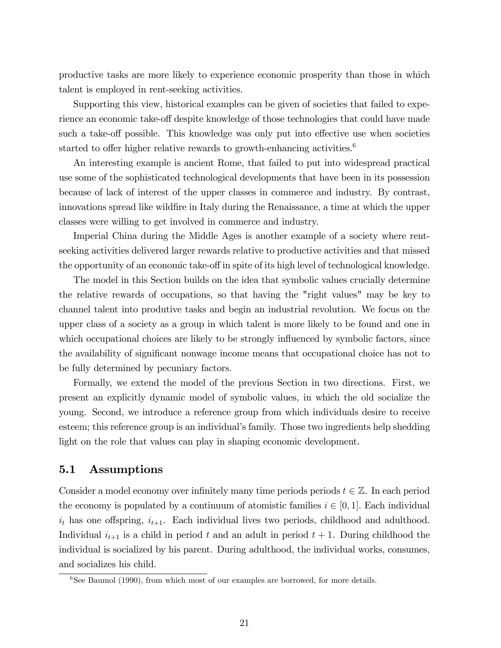productive tasks are more likely to experience economic prosperity than those in which talent is employed in rent-seeking activities.

Supporting this view, historical examples can be given of societies that failed to experience an economic take-off despite knowledge of those technologies that could have made such a take-off possible. This knowledge was only put into effective use when societies started to offer higher relative rewards to growth-enhancing activities.<sup>6</sup>

An interesting example is ancient Rome, that failed to put into widespread practical use some of the sophisticated technological developments that have been in its possession because of lack of interest of the upper classes in commerce and industry. By contrast, innovations spread like wildfire in Italy during the Renaissance, a time at which the upper classes were willing to get involved in commerce and industry.

Imperial China during the Middle Ages is another example of a society where rentseeking activities delivered larger rewards relative to productive activities and that missed the opportunity of an economic take-off in spite of its high level of technological knowledge.

The model in this Section builds on the idea that symbolic values crucially determine the relative rewards of occupations, so that having the "right values" may be key to channel talent into produtive tasks and begin an industrial revolution. We focus on the upper class of a society as a group in which talent is more likely to be found and one in which occupational choices are likely to be strongly influenced by symbolic factors, since the availability of significant nonwage income means that occupational choice has not to be fully determined by pecuniary factors.

Formally, we extend the model of the previous Section in two directions. First, we present an explicitly dynamic model of symbolic values, in which the old socialize the young. Second, we introduce a reference group from which individuals desire to receive esteem; this reference group is an individual's family. Those two ingredients help shedding light on the role that values can play in shaping economic development.

### 5.1 Assumptions

Consider a model economy over infinitely many time periods periods  $t \in \mathbb{Z}$ . In each period the economy is populated by a continuum of atomistic families  $i \in [0, 1]$ . Each individual  $i_t$  has one offspring,  $i_{t+1}$ . Each individual lives two periods, childhood and adulthood. Individual  $i_{t+1}$  is a child in period t and an adult in period  $t + 1$ . During childhood the individual is socialized by his parent. During adulthood, the individual works, consumes, and socializes his child.

 $6$ See Baumol (1990), from which most of our examples are borrowed, for more details.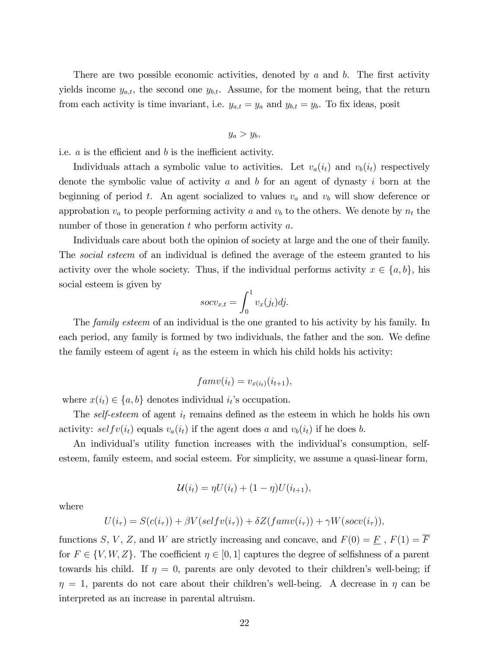There are two possible economic activities, denoted by  $a$  and  $b$ . The first activity yields income  $y_{a,t}$ , the second one  $y_{b,t}$ . Assume, for the moment being, that the return from each activity is time invariant, i.e.  $y_{a,t} = y_a$  and  $y_{b,t} = y_b$ . To fix ideas, posit

$$
y_a > y_b,
$$

i.e.  $a$  is the efficient and  $b$  is the inefficient activity.

Individuals attach a symbolic value to activities. Let  $v_a(i_t)$  and  $v_b(i_t)$  respectively denote the symbolic value of activity a and b for an agent of dynasty i born at the beginning of period t. An agent socialized to values  $v_a$  and  $v_b$  will show deference or approbation  $v_a$  to people performing activity a and  $v_b$  to the others. We denote by  $n_t$  the number of those in generation  $t$  who perform activity  $a$ .

Individuals care about both the opinion of society at large and the one of their family. The *social esteem* of an individual is defined the average of the esteem granted to his activity over the whole society. Thus, if the individual performs activity  $x \in \{a, b\}$ , his social esteem is given by

$$
socv_{x,t} = \int_0^1 v_x(j_t)dj.
$$

The *family esteem* of an individual is the one granted to his activity by his family. In each period, any family is formed by two individuals, the father and the son. We define the family esteem of agent  $i_t$  as the esteem in which his child holds his activity:

$$
famv(i_t) = v_{x(i_t)}(i_{t+1}),
$$

where  $x(i_t) \in \{a, b\}$  denotes individual  $i_t$ 's occupation.

The self-esteem of agent  $i_t$  remains defined as the esteem in which he holds his own activity: self  $v(i_t)$  equals  $v_a(i_t)$  if the agent does a and  $v_b(i_t)$  if he does b.

An individual's utility function increases with the individual's consumption, selfesteem, family esteem, and social esteem. For simplicity, we assume a quasi-linear form,

$$
\mathcal{U}(i_t) = \eta U(i_t) + (1 - \eta)U(i_{t+1}),
$$

where

$$
U(i_{\tau}) = S(c(i_{\tau})) + \beta V(selfv(i_{\tau})) + \delta Z(famv(i_{\tau})) + \gamma W(socv(i_{\tau})),
$$

functions S, V, Z, and W are strictly increasing and concave, and  $F(0) = \underline{F}$ ,  $F(1) = \overline{F}$ for  $F \in \{V, W, Z\}$ . The coefficient  $\eta \in [0, 1]$  captures the degree of selfishness of a parent towards his child. If  $\eta = 0$ , parents are only devoted to their children's well-being; if  $\eta = 1$ , parents do not care about their children's well-being. A decrease in  $\eta$  can be interpreted as an increase in parental altruism.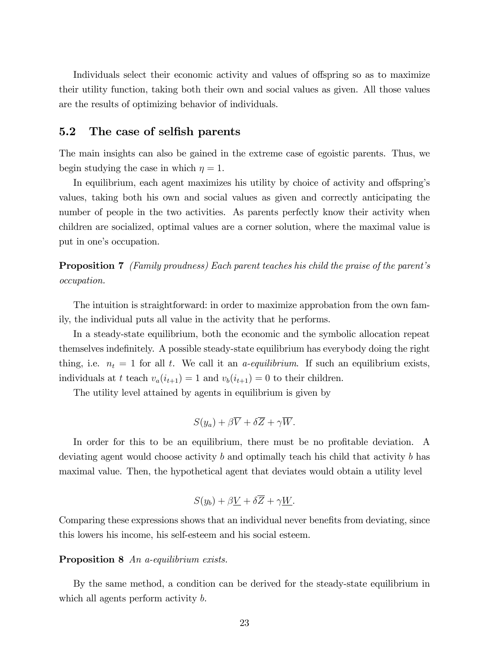Individuals select their economic activity and values of offspring so as to maximize their utility function, taking both their own and social values as given. All those values are the results of optimizing behavior of individuals.

### 5.2 The case of selfish parents

The main insights can also be gained in the extreme case of egoistic parents. Thus, we begin studying the case in which  $\eta = 1$ .

In equilibrium, each agent maximizes his utility by choice of activity and offspring's values, taking both his own and social values as given and correctly anticipating the number of people in the two activities. As parents perfectly know their activity when children are socialized, optimal values are a corner solution, where the maximal value is put in one's occupation.

**Proposition 7** (Family proudness) Each parent teaches his child the praise of the parent's occupation.

The intuition is straightforward: in order to maximize approbation from the own family, the individual puts all value in the activity that he performs.

In a steady-state equilibrium, both the economic and the symbolic allocation repeat themselves indefinitely. A possible steady-state equilibrium has everybody doing the right thing, i.e.  $n_t = 1$  for all t. We call it an *a-equilibrium*. If such an equilibrium exists, individuals at t teach  $v_a(i_{t+1}) = 1$  and  $v_b(i_{t+1}) = 0$  to their children.

The utility level attained by agents in equilibrium is given by

$$
S(y_a) + \beta \overline{V} + \delta \overline{Z} + \gamma \overline{W}.
$$

In order for this to be an equilibrium, there must be no profitable deviation. A deviating agent would choose activity b and optimally teach his child that activity b has maximal value. Then, the hypothetical agent that deviates would obtain a utility level

$$
S(y_b) + \beta \underline{V} + \delta \overline{Z} + \gamma \underline{W}.
$$

Comparing these expressions shows that an individual never benefits from deviating, since this lowers his income, his self-esteem and his social esteem.

#### Proposition 8 An a-equilibrium exists.

By the same method, a condition can be derived for the steady-state equilibrium in which all agents perform activity b.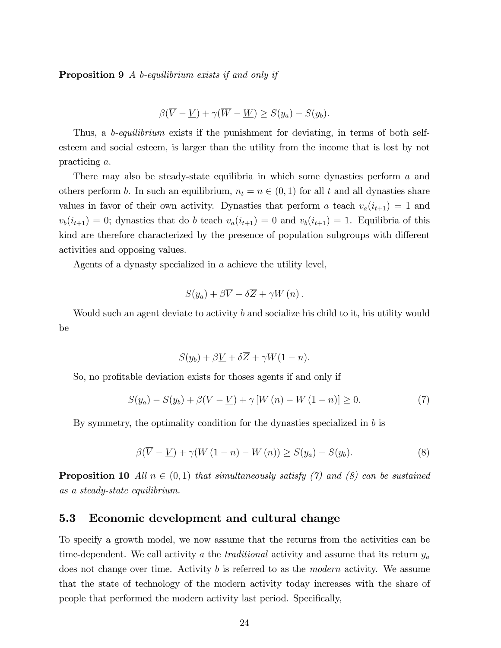Proposition 9 A b-equilibrium exists if and only if

$$
\beta(\overline{V} - \underline{V}) + \gamma(\overline{W} - \underline{W}) \ge S(y_a) - S(y_b).
$$

Thus, a *b-equilibrium* exists if the punishment for deviating, in terms of both selfesteem and social esteem, is larger than the utility from the income that is lost by not practicing a.

There may also be steady-state equilibria in which some dynasties perform a and others perform b. In such an equilibrium,  $n_t = n \in (0, 1)$  for all t and all dynasties share values in favor of their own activity. Dynasties that perform a teach  $v_a(i_{t+1}) = 1$  and  $v_b(i_{t+1}) = 0$ ; dynasties that do b teach  $v_a(i_{t+1}) = 0$  and  $v_b(i_{t+1}) = 1$ . Equilibria of this kind are therefore characterized by the presence of population subgroups with different activities and opposing values.

Agents of a dynasty specialized in a achieve the utility level,

$$
S(y_a) + \beta \overline{V} + \delta \overline{Z} + \gamma W(n) .
$$

Would such an agent deviate to activity b and socialize his child to it, his utility would be

$$
S(y_b) + \beta \underline{V} + \delta \overline{Z} + \gamma W(1 - n).
$$

So, no profitable deviation exists for thoses agents if and only if

$$
S(y_a) - S(y_b) + \beta(\overline{V} - \underline{V}) + \gamma [W(n) - W(1 - n)] \ge 0.
$$
 (7)

By symmetry, the optimality condition for the dynasties specialized in b is

$$
\beta(\overline{V} - \underline{V}) + \gamma(W(1 - n) - W(n)) \ge S(y_a) - S(y_b). \tag{8}
$$

**Proposition 10** All  $n \in (0,1)$  that simultaneously satisfy (7) and (8) can be sustained as a steady-state equilibrium.

### 5.3 Economic development and cultural change

To specify a growth model, we now assume that the returns from the activities can be time-dependent. We call activity a the *traditional* activity and assume that its return  $y_a$ does not change over time. Activity b is referred to as the *modern* activity. We assume that the state of technology of the modern activity today increases with the share of people that performed the modern activity last period. Specifically,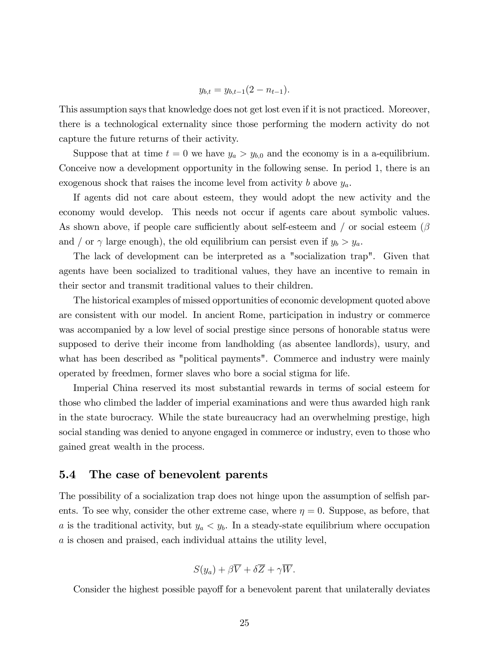$$
y_{b,t} = y_{b,t-1}(2 - n_{t-1}).
$$

This assumption says that knowledge does not get lost even if it is not practiced. Moreover, there is a technological externality since those performing the modern activity do not capture the future returns of their activity.

Suppose that at time  $t = 0$  we have  $y_a > y_{b,0}$  and the economy is in a a-equilibrium. Conceive now a development opportunity in the following sense. In period 1, there is an exogenous shock that raises the income level from activity b above  $y_a$ .

If agents did not care about esteem, they would adopt the new activity and the economy would develop. This needs not occur if agents care about symbolic values. As shown above, if people care sufficiently about self-esteem and / or social esteem  $(\beta$ and / or  $\gamma$  large enough), the old equilibrium can persist even if  $y_b > y_a$ .

The lack of development can be interpreted as a "socialization trap". Given that agents have been socialized to traditional values, they have an incentive to remain in their sector and transmit traditional values to their children.

The historical examples of missed opportunities of economic development quoted above are consistent with our model. In ancient Rome, participation in industry or commerce was accompanied by a low level of social prestige since persons of honorable status were supposed to derive their income from landholding (as absentee landlords), usury, and what has been described as "political payments". Commerce and industry were mainly operated by freedmen, former slaves who bore a social stigma for life.

Imperial China reserved its most substantial rewards in terms of social esteem for those who climbed the ladder of imperial examinations and were thus awarded high rank in the state burocracy. While the state bureaucracy had an overwhelming prestige, high social standing was denied to anyone engaged in commerce or industry, even to those who gained great wealth in the process.

#### 5.4 The case of benevolent parents

The possibility of a socialization trap does not hinge upon the assumption of selfish parents. To see why, consider the other extreme case, where  $\eta = 0$ . Suppose, as before, that a is the traditional activity, but  $y_a < y_b$ . In a steady-state equilibrium where occupation a is chosen and praised, each individual attains the utility level,

$$
S(y_a) + \beta \overline{V} + \delta \overline{Z} + \gamma \overline{W}.
$$

Consider the highest possible payoff for a benevolent parent that unilaterally deviates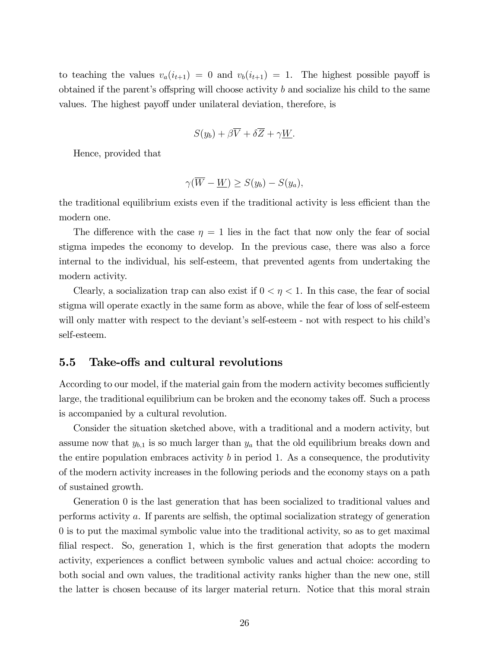to teaching the values  $v_a(i_{t+1}) = 0$  and  $v_b(i_{t+1}) = 1$ . The highest possible payoff is obtained if the parent's offspring will choose activity  $b$  and socialize his child to the same values. The highest payoff under unilateral deviation, therefore, is

$$
S(y_b) + \beta \overline{V} + \delta \overline{Z} + \gamma \underline{W}.
$$

Hence, provided that

$$
\gamma(\overline{W} - \underline{W}) \ge S(y_b) - S(y_a),
$$

the traditional equilibrium exists even if the traditional activity is less efficient than the modern one.

The difference with the case  $\eta = 1$  lies in the fact that now only the fear of social stigma impedes the economy to develop. In the previous case, there was also a force internal to the individual, his self-esteem, that prevented agents from undertaking the modern activity.

Clearly, a socialization trap can also exist if  $0 < \eta < 1$ . In this case, the fear of social stigma will operate exactly in the same form as above, while the fear of loss of self-esteem will only matter with respect to the deviant's self-esteem - not with respect to his child's self-esteem.

#### 5.5 Take-offs and cultural revolutions

According to our model, if the material gain from the modern activity becomes sufficiently large, the traditional equilibrium can be broken and the economy takes off. Such a process is accompanied by a cultural revolution.

Consider the situation sketched above, with a traditional and a modern activity, but assume now that  $y_{b,1}$  is so much larger than  $y_a$  that the old equilibrium breaks down and the entire population embraces activity  $b$  in period 1. As a consequence, the produtivity of the modern activity increases in the following periods and the economy stays on a path of sustained growth.

Generation 0 is the last generation that has been socialized to traditional values and performs activity  $a$ . If parents are selfish, the optimal socialization strategy of generation 0 is to put the maximal symbolic value into the traditional activity, so as to get maximal filial respect. So, generation 1, which is the first generation that adopts the modern activity, experiences a conflict between symbolic values and actual choice: according to both social and own values, the traditional activity ranks higher than the new one, still the latter is chosen because of its larger material return. Notice that this moral strain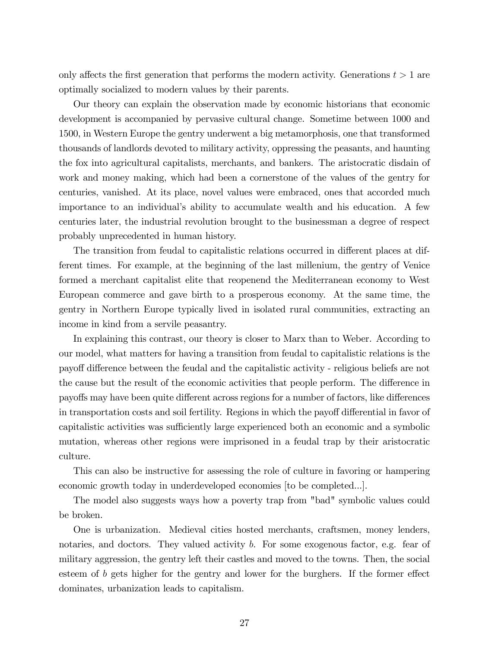only affects the first generation that performs the modern activity. Generations  $t > 1$  are optimally socialized to modern values by their parents.

Our theory can explain the observation made by economic historians that economic development is accompanied by pervasive cultural change. Sometime between 1000 and 1500, in Western Europe the gentry underwent a big metamorphosis, one that transformed thousands of landlords devoted to military activity, oppressing the peasants, and haunting the fox into agricultural capitalists, merchants, and bankers. The aristocratic disdain of work and money making, which had been a cornerstone of the values of the gentry for centuries, vanished. At its place, novel values were embraced, ones that accorded much importance to an individual's ability to accumulate wealth and his education. A few centuries later, the industrial revolution brought to the businessman a degree of respect probably unprecedented in human history.

The transition from feudal to capitalistic relations occurred in different places at different times. For example, at the beginning of the last millenium, the gentry of Venice formed a merchant capitalist elite that reopenend the Mediterranean economy to West European commerce and gave birth to a prosperous economy. At the same time, the gentry in Northern Europe typically lived in isolated rural communities, extracting an income in kind from a servile peasantry.

In explaining this contrast, our theory is closer to Marx than to Weber. According to our model, what matters for having a transition from feudal to capitalistic relations is the payoff difference between the feudal and the capitalistic activity - religious beliefs are not the cause but the result of the economic activities that people perform. The difference in payoffs may have been quite different across regions for a number of factors, like differences in transportation costs and soil fertility. Regions in which the payoff differential in favor of capitalistic activities was sufficiently large experienced both an economic and a symbolic mutation, whereas other regions were imprisoned in a feudal trap by their aristocratic culture.

This can also be instructive for assessing the role of culture in favoring or hampering economic growth today in underdeveloped economies [to be completed...].

The model also suggests ways how a poverty trap from "bad" symbolic values could be broken.

One is urbanization. Medieval cities hosted merchants, craftsmen, money lenders, notaries, and doctors. They valued activity b. For some exogenous factor, e.g. fear of military aggression, the gentry left their castles and moved to the towns. Then, the social esteem of  $b$  gets higher for the gentry and lower for the burghers. If the former effect dominates, urbanization leads to capitalism.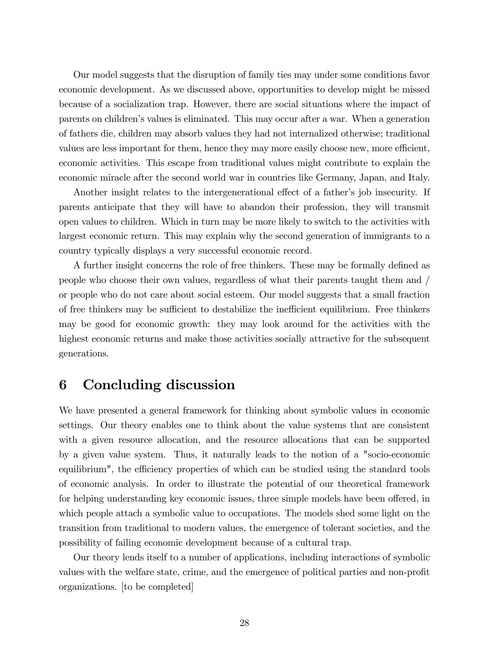Our model suggests that the disruption of family ties may under some conditions favor economic development. As we discussed above, opportunities to develop might be missed because of a socialization trap. However, there are social situations where the impact of parents on childrenís values is eliminated. This may occur after a war. When a generation of fathers die, children may absorb values they had not internalized otherwise; traditional values are less important for them, hence they may more easily choose new, more efficient, economic activities. This escape from traditional values might contribute to explain the economic miracle after the second world war in countries like Germany, Japan, and Italy.

Another insight relates to the intergenerational effect of a father's job insecurity. If parents anticipate that they will have to abandon their profession, they will transmit open values to children. Which in turn may be more likely to switch to the activities with largest economic return. This may explain why the second generation of immigrants to a country typically displays a very successful economic record.

A further insight concerns the role of free thinkers. These may be formally defined as people who choose their own values, regardless of what their parents taught them and / or people who do not care about social esteem. Our model suggests that a small fraction of free thinkers may be sufficient to destabilize the inefficient equilibrium. Free thinkers may be good for economic growth: they may look around for the activities with the highest economic returns and make those activities socially attractive for the subsequent generations.

# 6 Concluding discussion

We have presented a general framework for thinking about symbolic values in economic settings. Our theory enables one to think about the value systems that are consistent with a given resource allocation, and the resource allocations that can be supported by a given value system. Thus, it naturally leads to the notion of a "socio-economic equilibrium", the efficiency properties of which can be studied using the standard tools of economic analysis. In order to illustrate the potential of our theoretical framework for helping understanding key economic issues, three simple models have been offered, in which people attach a symbolic value to occupations. The models shed some light on the transition from traditional to modern values, the emergence of tolerant societies, and the possibility of failing economic development because of a cultural trap.

Our theory lends itself to a number of applications, including interactions of symbolic values with the welfare state, crime, and the emergence of political parties and non-profit organizations. [to be completed]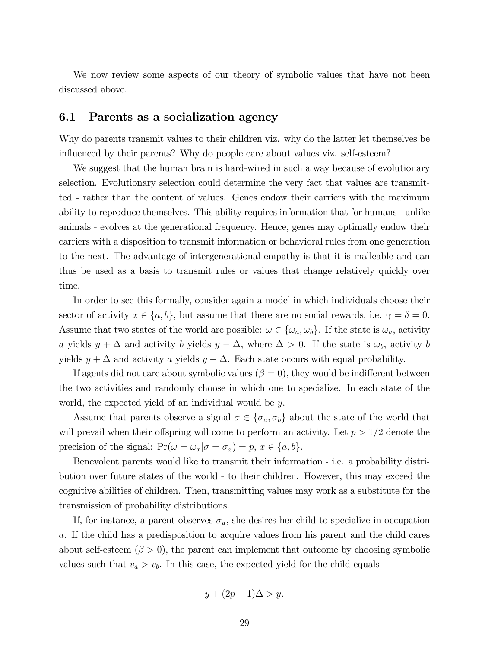We now review some aspects of our theory of symbolic values that have not been discussed above.

#### 6.1 Parents as a socialization agency

Why do parents transmit values to their children viz. why do the latter let themselves be influenced by their parents? Why do people care about values viz. self-esteem?

We suggest that the human brain is hard-wired in such a way because of evolutionary selection. Evolutionary selection could determine the very fact that values are transmitted - rather than the content of values. Genes endow their carriers with the maximum ability to reproduce themselves. This ability requires information that for humans - unlike animals - evolves at the generational frequency. Hence, genes may optimally endow their carriers with a disposition to transmit information or behavioral rules from one generation to the next. The advantage of intergenerational empathy is that it is malleable and can thus be used as a basis to transmit rules or values that change relatively quickly over time.

In order to see this formally, consider again a model in which individuals choose their sector of activity  $x \in \{a, b\}$ , but assume that there are no social rewards, i.e.  $\gamma = \delta = 0$ . Assume that two states of the world are possible:  $\omega \in {\{\omega_a, \omega_b\}}$ . If the state is  $\omega_a$ , activity a yields  $y + \Delta$  and activity b yields  $y - \Delta$ , where  $\Delta > 0$ . If the state is  $\omega_b$ , activity b yields  $y + \Delta$  and activity a yields  $y - \Delta$ . Each state occurs with equal probability.

If agents did not care about symbolic values ( $\beta = 0$ ), they would be indifferent between the two activities and randomly choose in which one to specialize. In each state of the world, the expected yield of an individual would be y.

Assume that parents observe a signal  $\sigma \in {\{\sigma_a, \sigma_b\}}$  about the state of the world that will prevail when their offspring will come to perform an activity. Let  $p > 1/2$  denote the precision of the signal:  $Pr(\omega = \omega_x | \sigma = \sigma_x) = p, x \in \{a, b\}.$ 

Benevolent parents would like to transmit their information - i.e. a probability distribution over future states of the world - to their children. However, this may exceed the cognitive abilities of children. Then, transmitting values may work as a substitute for the transmission of probability distributions.

If, for instance, a parent observes  $\sigma_a$ , she desires her child to specialize in occupation a. If the child has a predisposition to acquire values from his parent and the child cares about self-esteem  $(\beta > 0)$ , the parent can implement that outcome by choosing symbolic values such that  $v_a > v_b$ . In this case, the expected yield for the child equals

$$
y + (2p - 1)\Delta > y.
$$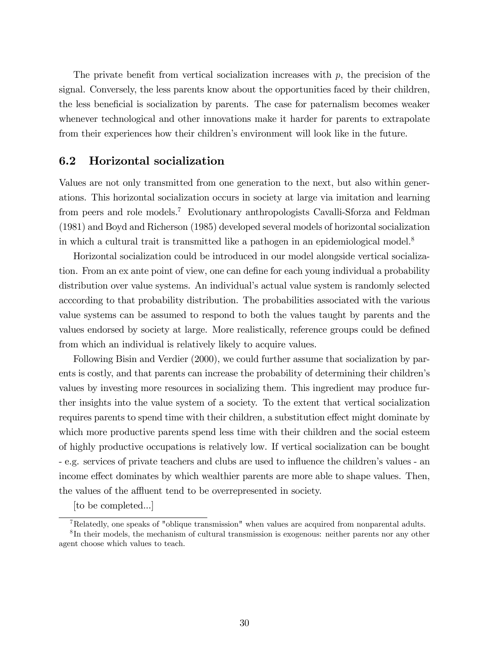The private benefit from vertical socialization increases with  $p$ , the precision of the signal. Conversely, the less parents know about the opportunities faced by their children, the less beneficial is socialization by parents. The case for paternalism becomes weaker whenever technological and other innovations make it harder for parents to extrapolate from their experiences how their children's environment will look like in the future.

### 6.2 Horizontal socialization

Values are not only transmitted from one generation to the next, but also within generations. This horizontal socialization occurs in society at large via imitation and learning from peers and role models.<sup>7</sup> Evolutionary anthropologists Cavalli-Sforza and Feldman (1981) and Boyd and Richerson (1985) developed several models of horizontal socialization in which a cultural trait is transmitted like a pathogen in an epidemiological model.<sup>8</sup>

Horizontal socialization could be introduced in our model alongside vertical socialization. From an ex ante point of view, one can define for each young individual a probability distribution over value systems. An individual's actual value system is randomly selected acccording to that probability distribution. The probabilities associated with the various value systems can be assumed to respond to both the values taught by parents and the values endorsed by society at large. More realistically, reference groups could be defined from which an individual is relatively likely to acquire values.

Following Bisin and Verdier (2000), we could further assume that socialization by parents is costly, and that parents can increase the probability of determining their children's values by investing more resources in socializing them. This ingredient may produce further insights into the value system of a society. To the extent that vertical socialization requires parents to spend time with their children, a substitution effect might dominate by which more productive parents spend less time with their children and the social esteem of highly productive occupations is relatively low. If vertical socialization can be bought - e.g. services of private teachers and clubs are used to ináuence the childrenís values - an income effect dominates by which wealthier parents are more able to shape values. Then, the values of the affluent tend to be overrepresented in society.

[to be completed...]

<sup>7</sup>Relatedly, one speaks of "oblique transmission" when values are acquired from nonparental adults. <sup>8</sup>In their models, the mechanism of cultural transmission is exogenous: neither parents nor any other agent choose which values to teach.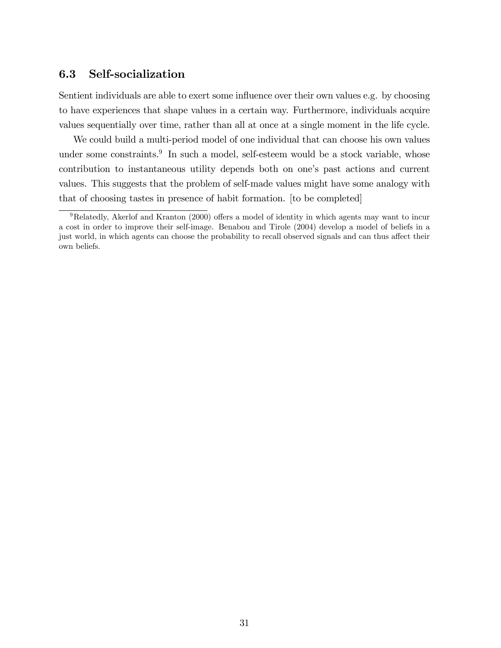## 6.3 Self-socialization

Sentient individuals are able to exert some influence over their own values e.g. by choosing to have experiences that shape values in a certain way. Furthermore, individuals acquire values sequentially over time, rather than all at once at a single moment in the life cycle.

We could build a multi-period model of one individual that can choose his own values under some constraints.<sup>9</sup> In such a model, self-esteem would be a stock variable, whose contribution to instantaneous utility depends both on one's past actions and current values. This suggests that the problem of self-made values might have some analogy with that of choosing tastes in presence of habit formation. [to be completed]

 $9Relatedly$ , Akerlof and Kranton (2000) offers a model of identity in which agents may want to incur a cost in order to improve their self-image. Benabou and Tirole (2004) develop a model of beliefs in a just world, in which agents can choose the probability to recall observed signals and can thus affect their own beliefs.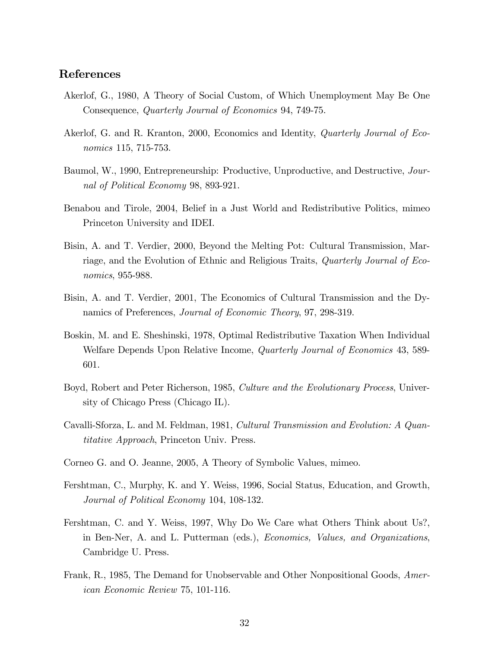### References

- Akerlof, G., 1980, A Theory of Social Custom, of Which Unemployment May Be One Consequence, Quarterly Journal of Economics 94, 749-75.
- Akerlof, G. and R. Kranton, 2000, Economics and Identity, Quarterly Journal of Economics 115, 715-753.
- Baumol, W., 1990, Entrepreneurship: Productive, Unproductive, and Destructive, Journal of Political Economy 98, 893-921.
- Benabou and Tirole, 2004, Belief in a Just World and Redistributive Politics, mimeo Princeton University and IDEI.
- Bisin, A. and T. Verdier, 2000, Beyond the Melting Pot: Cultural Transmission, Marriage, and the Evolution of Ethnic and Religious Traits, Quarterly Journal of Economics, 955-988.
- Bisin, A. and T. Verdier, 2001, The Economics of Cultural Transmission and the Dynamics of Preferences, Journal of Economic Theory, 97, 298-319.
- Boskin, M. and E. Sheshinski, 1978, Optimal Redistributive Taxation When Individual Welfare Depends Upon Relative Income, Quarterly Journal of Economics 43, 589- 601.
- Boyd, Robert and Peter Richerson, 1985, Culture and the Evolutionary Process, University of Chicago Press (Chicago IL).
- Cavalli-Sforza, L. and M. Feldman, 1981, Cultural Transmission and Evolution: A Quantitative Approach, Princeton Univ. Press.
- Corneo G. and O. Jeanne, 2005, A Theory of Symbolic Values, mimeo.
- Fershtman, C., Murphy, K. and Y. Weiss, 1996, Social Status, Education, and Growth, Journal of Political Economy 104, 108-132.
- Fershtman, C. and Y. Weiss, 1997, Why Do We Care what Others Think about Us?, in Ben-Ner, A. and L. Putterman (eds.), Economics, Values, and Organizations, Cambridge U. Press.
- Frank, R., 1985, The Demand for Unobservable and Other Nonpositional Goods, American Economic Review 75, 101-116.